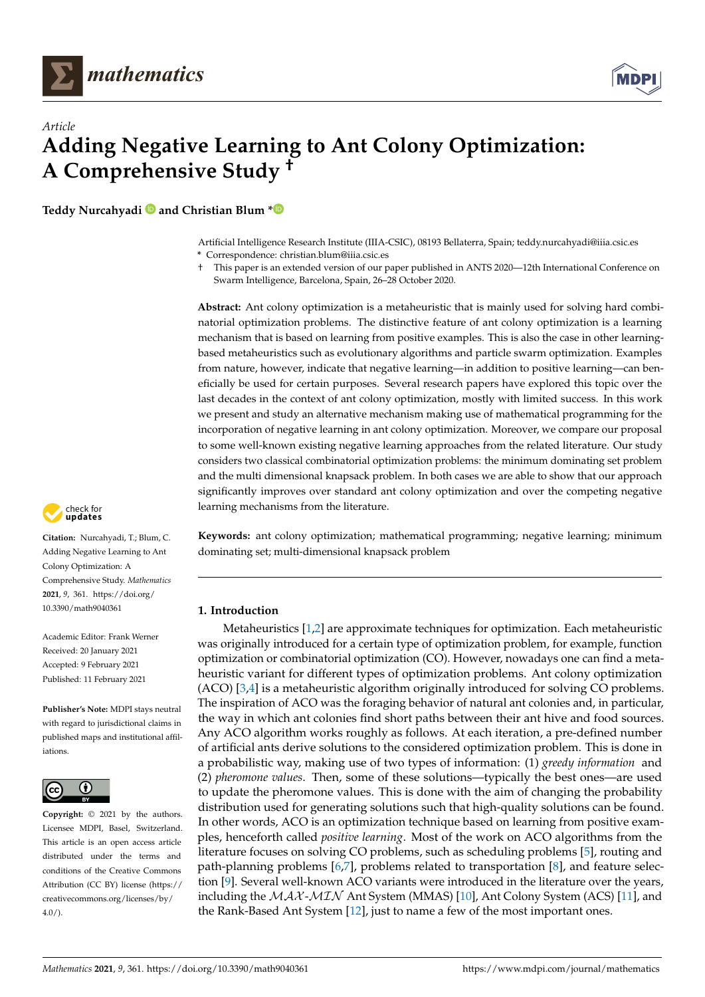



# *Article* **Adding Negative Learning to Ant Colony Optimization: A Comprehensive Study †**

**Teddy Nurcahyadi and Christian Blum [\\*](https://orcid.org/0000-0002-1736-3559)**

Artificial Intelligence Research Institute (IIIA-CSIC), 08193 Bellaterra, Spain; teddy.nurcahyadi@iiia.csic.es **\*** Correspondence: christian.blum@iiia.csic.es

† This paper is an extended version of our paper published in ANTS 2020—12th International Conference on Swarm Intelligence, Barcelona, Spain, 26–28 October 2020.

**Abstract:** Ant colony optimization is a metaheuristic that is mainly used for solving hard combinatorial optimization problems. The distinctive feature of ant colony optimization is a learning mechanism that is based on learning from positive examples. This is also the case in other learningbased metaheuristics such as evolutionary algorithms and particle swarm optimization. Examples from nature, however, indicate that negative learning—in addition to positive learning—can beneficially be used for certain purposes. Several research papers have explored this topic over the last decades in the context of ant colony optimization, mostly with limited success. In this work we present and study an alternative mechanism making use of mathematical programming for the incorporation of negative learning in ant colony optimization. Moreover, we compare our proposal to some well-known existing negative learning approaches from the related literature. Our study considers two classical combinatorial optimization problems: the minimum dominating set problem and the multi dimensional knapsack problem. In both cases we are able to show that our approach significantly improves over standard ant colony optimization and over the competing negative learning mechanisms from the literature.

check for **-**

**Citation:** Nurcahyadi, T.; Blum, C. Adding Negative Learning to Ant Colony Optimization: A Comprehensive Study. *Mathematics* **2021**, *9*, 361. [https://doi.org/](https://doi.org/10.3390/math9040361) [10.3390/math9040361](https://doi.org/10.3390/math9040361)

Academic Editor: Frank Werner Received: 20 January 2021 Accepted: 9 February 2021 Published: 11 February 2021

**Publisher's Note:** MDPI stays neutral with regard to jurisdictional claims in published maps and institutional affiliations.



**Copyright:** © 2021 by the authors. Licensee MDPI, Basel, Switzerland. This article is an open access article distributed under the terms and conditions of the Creative Commons Attribution (CC BY) license (https:/[/](https://creativecommons.org/licenses/by/4.0/) [creativecommons.org/licenses/by/](https://creativecommons.org/licenses/by/4.0/)  $4.0/$ ).

**Keywords:** ant colony optimization; mathematical programming; negative learning; minimum dominating set; multi-dimensional knapsack problem

# **1. Introduction**

Metaheuristics [\[1](#page-21-0)[,2\]](#page-21-1) are approximate techniques for optimization. Each metaheuristic was originally introduced for a certain type of optimization problem, for example, function optimization or combinatorial optimization (CO). However, nowadays one can find a metaheuristic variant for different types of optimization problems. Ant colony optimization (ACO) [\[3,](#page-21-2)[4\]](#page-21-3) is a metaheuristic algorithm originally introduced for solving CO problems. The inspiration of ACO was the foraging behavior of natural ant colonies and, in particular, the way in which ant colonies find short paths between their ant hive and food sources. Any ACO algorithm works roughly as follows. At each iteration, a pre-defined number of artificial ants derive solutions to the considered optimization problem. This is done in a probabilistic way, making use of two types of information: (1) *greedy information* and (2) *pheromone values*. Then, some of these solutions—typically the best ones—are used to update the pheromone values. This is done with the aim of changing the probability distribution used for generating solutions such that high-quality solutions can be found. In other words, ACO is an optimization technique based on learning from positive examples, henceforth called *positive learning*. Most of the work on ACO algorithms from the literature focuses on solving CO problems, such as scheduling problems [\[5\]](#page-21-4), routing and path-planning problems [\[6,](#page-21-5)[7\]](#page-21-6), problems related to transportation [\[8\]](#page-21-7), and feature selection [\[9\]](#page-21-8). Several well-known ACO variants were introduced in the literature over the years, including the  $MAX-MIN$  Ant System (MMAS) [\[10\]](#page-21-9), Ant Colony System (ACS) [\[11\]](#page-21-10), and the Rank-Based Ant System [\[12\]](#page-21-11), just to name a few of the most important ones.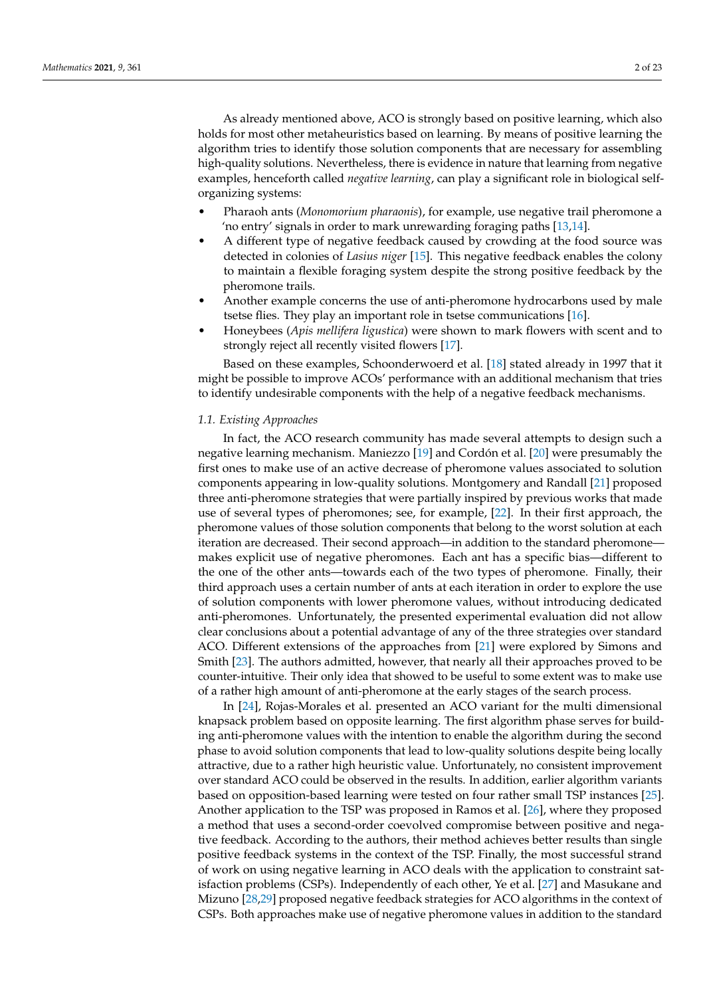As already mentioned above, ACO is strongly based on positive learning, which also holds for most other metaheuristics based on learning. By means of positive learning the algorithm tries to identify those solution components that are necessary for assembling high-quality solutions. Nevertheless, there is evidence in nature that learning from negative examples, henceforth called *negative learning*, can play a significant role in biological selforganizing systems:

- Pharaoh ants (*Monomorium pharaonis*), for example, use negative trail pheromone a 'no entry' signals in order to mark unrewarding foraging paths [\[13](#page-21-12)[,14\]](#page-21-13).
- A different type of negative feedback caused by crowding at the food source was detected in colonies of *Lasius niger* [\[15\]](#page-21-14). This negative feedback enables the colony to maintain a flexible foraging system despite the strong positive feedback by the pheromone trails.
- Another example concerns the use of anti-pheromone hydrocarbons used by male tsetse flies. They play an important role in tsetse communications [\[16\]](#page-21-15).
- Honeybees (*Apis mellifera ligustica*) were shown to mark flowers with scent and to strongly reject all recently visited flowers [\[17\]](#page-21-16).

Based on these examples, Schoonderwoerd et al. [\[18\]](#page-21-17) stated already in 1997 that it might be possible to improve ACOs' performance with an additional mechanism that tries to identify undesirable components with the help of a negative feedback mechanisms.

#### <span id="page-1-0"></span>*1.1. Existing Approaches*

In fact, the ACO research community has made several attempts to design such a negative learning mechanism. Maniezzo [\[19\]](#page-21-18) and Cordón et al. [\[20\]](#page-21-19) were presumably the first ones to make use of an active decrease of pheromone values associated to solution components appearing in low-quality solutions. Montgomery and Randall [\[21\]](#page-21-20) proposed three anti-pheromone strategies that were partially inspired by previous works that made use of several types of pheromones; see, for example, [\[22\]](#page-21-21). In their first approach, the pheromone values of those solution components that belong to the worst solution at each iteration are decreased. Their second approach—in addition to the standard pheromone makes explicit use of negative pheromones. Each ant has a specific bias—different to the one of the other ants—towards each of the two types of pheromone. Finally, their third approach uses a certain number of ants at each iteration in order to explore the use of solution components with lower pheromone values, without introducing dedicated anti-pheromones. Unfortunately, the presented experimental evaluation did not allow clear conclusions about a potential advantage of any of the three strategies over standard ACO. Different extensions of the approaches from [\[21\]](#page-21-20) were explored by Simons and Smith [\[23\]](#page-21-22). The authors admitted, however, that nearly all their approaches proved to be counter-intuitive. Their only idea that showed to be useful to some extent was to make use of a rather high amount of anti-pheromone at the early stages of the search process.

In [\[24\]](#page-21-23), Rojas-Morales et al. presented an ACO variant for the multi dimensional knapsack problem based on opposite learning. The first algorithm phase serves for building anti-pheromone values with the intention to enable the algorithm during the second phase to avoid solution components that lead to low-quality solutions despite being locally attractive, due to a rather high heuristic value. Unfortunately, no consistent improvement over standard ACO could be observed in the results. In addition, earlier algorithm variants based on opposition-based learning were tested on four rather small TSP instances [\[25\]](#page-21-24). Another application to the TSP was proposed in Ramos et al. [\[26\]](#page-21-25), where they proposed a method that uses a second-order coevolved compromise between positive and negative feedback. According to the authors, their method achieves better results than single positive feedback systems in the context of the TSP. Finally, the most successful strand of work on using negative learning in ACO deals with the application to constraint satisfaction problems (CSPs). Independently of each other, Ye et al. [\[27\]](#page-22-0) and Masukane and Mizuno [\[28,](#page-22-1)[29\]](#page-22-2) proposed negative feedback strategies for ACO algorithms in the context of CSPs. Both approaches make use of negative pheromone values in addition to the standard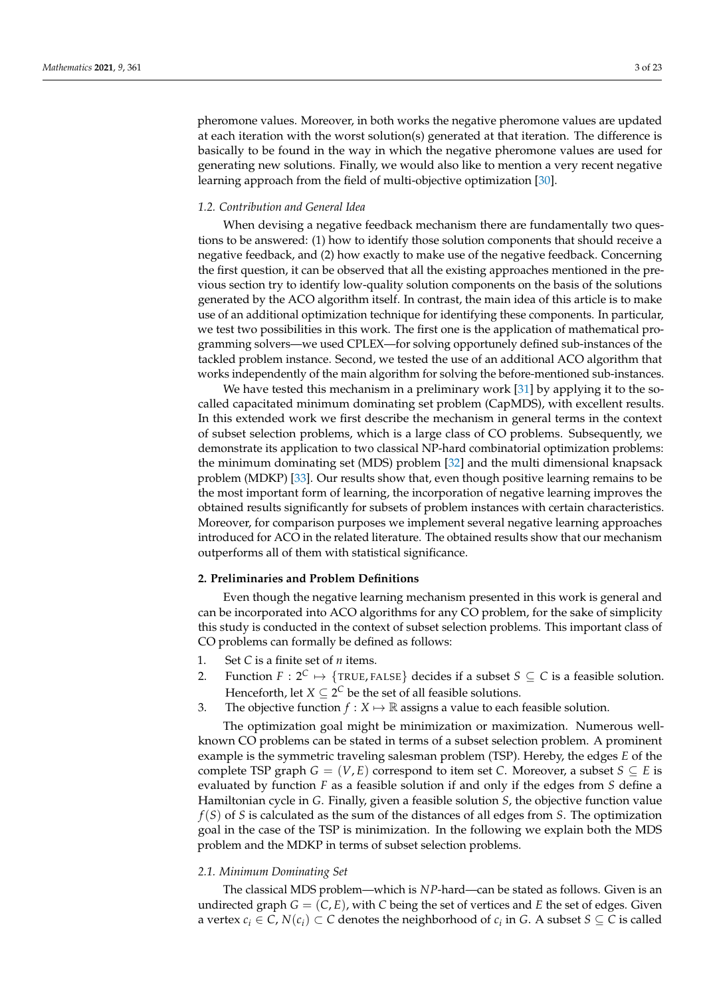pheromone values. Moreover, in both works the negative pheromone values are updated at each iteration with the worst solution(s) generated at that iteration. The difference is basically to be found in the way in which the negative pheromone values are used for generating new solutions. Finally, we would also like to mention a very recent negative learning approach from the field of multi-objective optimization [\[30\]](#page-22-3).

# *1.2. Contribution and General Idea*

When devising a negative feedback mechanism there are fundamentally two questions to be answered: (1) how to identify those solution components that should receive a negative feedback, and (2) how exactly to make use of the negative feedback. Concerning the first question, it can be observed that all the existing approaches mentioned in the previous section try to identify low-quality solution components on the basis of the solutions generated by the ACO algorithm itself. In contrast, the main idea of this article is to make use of an additional optimization technique for identifying these components. In particular, we test two possibilities in this work. The first one is the application of mathematical programming solvers—we used CPLEX—for solving opportunely defined sub-instances of the tackled problem instance. Second, we tested the use of an additional ACO algorithm that works independently of the main algorithm for solving the before-mentioned sub-instances.

We have tested this mechanism in a preliminary work [\[31\]](#page-22-4) by applying it to the socalled capacitated minimum dominating set problem (CapMDS), with excellent results. In this extended work we first describe the mechanism in general terms in the context of subset selection problems, which is a large class of CO problems. Subsequently, we demonstrate its application to two classical NP-hard combinatorial optimization problems: the minimum dominating set (MDS) problem [\[32\]](#page-22-5) and the multi dimensional knapsack problem (MDKP) [\[33\]](#page-22-6). Our results show that, even though positive learning remains to be the most important form of learning, the incorporation of negative learning improves the obtained results significantly for subsets of problem instances with certain characteristics. Moreover, for comparison purposes we implement several negative learning approaches introduced for ACO in the related literature. The obtained results show that our mechanism outperforms all of them with statistical significance.

## **2. Preliminaries and Problem Definitions**

Even though the negative learning mechanism presented in this work is general and can be incorporated into ACO algorithms for any CO problem, for the sake of simplicity this study is conducted in the context of subset selection problems. This important class of CO problems can formally be defined as follows:

- 1. Set *C* is a finite set of *n* items.
- 2. Function  $F: 2^C \mapsto \{ \text{TRUE}, \text{FALSE} \}$  decides if a subset  $S \subseteq C$  is a feasible solution. Henceforth, let  $X \subseteq 2^C$  be the set of all feasible solutions.
- 3. The objective function  $f : X \mapsto \mathbb{R}$  assigns a value to each feasible solution.

The optimization goal might be minimization or maximization. Numerous wellknown CO problems can be stated in terms of a subset selection problem. A prominent example is the symmetric traveling salesman problem (TSP). Hereby, the edges *E* of the complete TSP graph  $G = (V, E)$  correspond to item set *C*. Moreover, a subset  $S \subseteq E$  is evaluated by function *F* as a feasible solution if and only if the edges from *S* define a Hamiltonian cycle in *G*. Finally, given a feasible solution *S*, the objective function value *f*(*S*) of *S* is calculated as the sum of the distances of all edges from *S*. The optimization goal in the case of the TSP is minimization. In the following we explain both the MDS problem and the MDKP in terms of subset selection problems.

#### <span id="page-2-0"></span>*2.1. Minimum Dominating Set*

The classical MDS problem—which is *NP*-hard—can be stated as follows. Given is an undirected graph  $G = (C, E)$ , with C being the set of vertices and E the set of edges. Given a vertex  $c_i \in C$ ,  $N(c_i) \subset C$  denotes the neighborhood of  $c_i$  in *G*. A subset  $S \subseteq C$  is called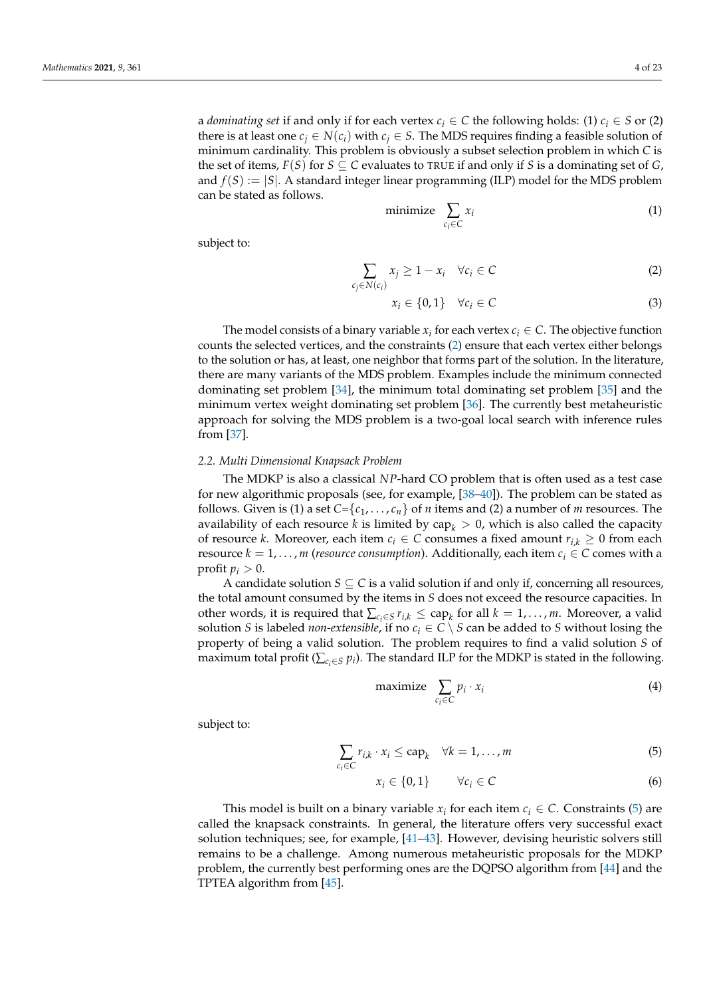a *dominating set* if and only if for each vertex  $c_i \in C$  the following holds: (1)  $c_i \in S$  or (2) there is at least one  $c_i \in N(c_i)$  with  $c_i \in S$ . The MDS requires finding a feasible solution of minimum cardinality. This problem is obviously a subset selection problem in which *C* is the set of items,  $F(S)$  for  $S \subseteq C$  evaluates to TRUE if and only if *S* is a dominating set of *G*, and  $f(S) := |S|$ . A standard integer linear programming (ILP) model for the MDS problem can be stated as follows.

$$
\text{minimize} \quad \sum_{c_i \in C} x_i \tag{1}
$$

subject to:

<span id="page-3-0"></span>
$$
\sum_{c_j \in N(c_i)} x_j \ge 1 - x_i \quad \forall c_i \in C
$$
 (2)

$$
x_i \in \{0, 1\} \quad \forall c_i \in C \tag{3}
$$

The model consists of a binary variable  $x_i$  for each vertex  $c_i \in C$ . The objective function counts the selected vertices, and the constraints [\(2\)](#page-3-0) ensure that each vertex either belongs to the solution or has, at least, one neighbor that forms part of the solution. In the literature, there are many variants of the MDS problem. Examples include the minimum connected dominating set problem [\[34\]](#page-22-7), the minimum total dominating set problem [\[35\]](#page-22-8) and the minimum vertex weight dominating set problem [\[36\]](#page-22-9). The currently best metaheuristic approach for solving the MDS problem is a two-goal local search with inference rules from [\[37\]](#page-22-10).

#### <span id="page-3-2"></span>*2.2. Multi Dimensional Knapsack Problem*

The MDKP is also a classical *NP*-hard CO problem that is often used as a test case for new algorithmic proposals (see, for example, [\[38–](#page-22-11)[40\]](#page-22-12)). The problem can be stated as follows. Given is (1) a set  $C = \{c_1, \ldots, c_n\}$  of *n* items and (2) a number of *m* resources. The availability of each resource *k* is limited by  $\text{cap}_k > 0$ , which is also called the capacity of resource *k*. Moreover, each item  $c_i \in C$  consumes a fixed amount  $r_{i,k} \geq 0$  from each resource  $k = 1, \ldots, m$  (*resource consumption*). Additionally, each item  $c_i \in C$  comes with a profit  $p_i > 0$ .

A candidate solution  $S \subseteq C$  is a valid solution if and only if, concerning all resources, the total amount consumed by the items in *S* does not exceed the resource capacities. In other words, it is required that  $\sum_{c_i \in S} r_{i,k} \leq cap_k$  for all  $k = 1, ..., m$ . Moreover, a valid solution *S* is labeled *non-extensible*, if no  $c_i \in C \setminus S$  can be added to *S* without losing the property of being a valid solution. The problem requires to find a valid solution *S* of maximum total profit ( $\sum_{c_i \in S} p_i$ ). The standard ILP for the MDKP is stated in the following.

$$
\text{maximize} \sum_{c_i \in C} p_i \cdot x_i \tag{4}
$$

subject to:

<span id="page-3-1"></span>
$$
\sum_{c_i \in C} r_{i,k} \cdot x_i \leq \text{cap}_k \quad \forall k = 1, \dots, m \tag{5}
$$

$$
x_i \in \{0, 1\} \qquad \forall c_i \in C \tag{6}
$$

This model is built on a binary variable  $x_i$  for each item  $c_i \in C$ . Constraints [\(5\)](#page-3-1) are called the knapsack constraints. In general, the literature offers very successful exact solution techniques; see, for example, [\[41](#page-22-13)[–43\]](#page-22-14). However, devising heuristic solvers still remains to be a challenge. Among numerous metaheuristic proposals for the MDKP problem, the currently best performing ones are the DQPSO algorithm from [\[44\]](#page-22-15) and the TPTEA algorithm from [\[45\]](#page-22-16).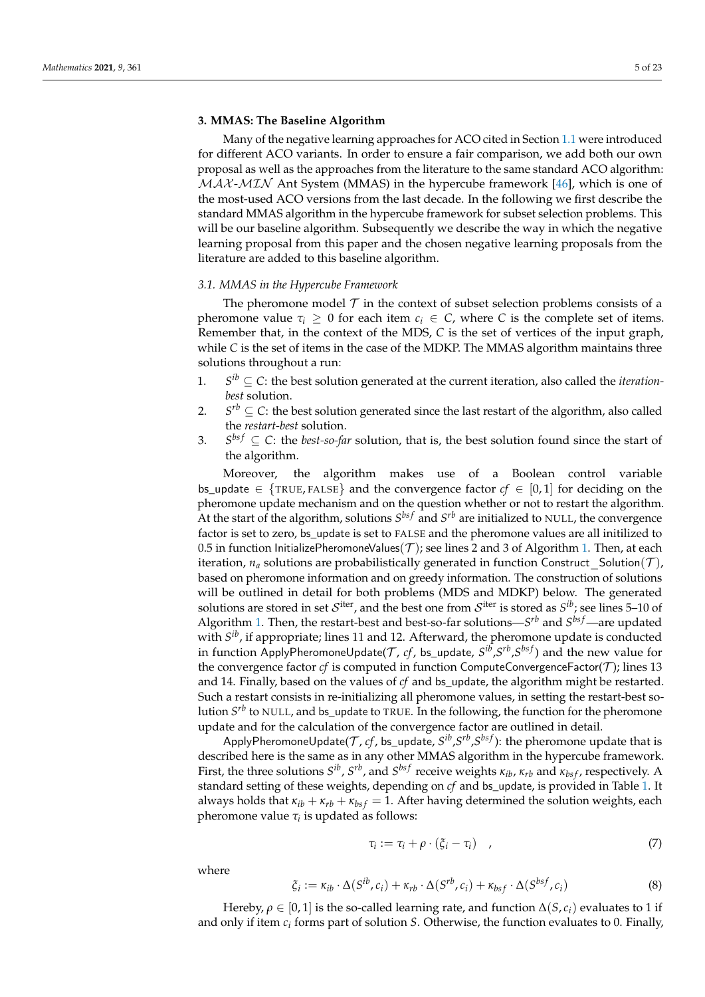# **3. MMAS: The Baseline Algorithm**

Many of the negative learning approaches for ACO cited in Section [1.1](#page-1-0) were introduced for different ACO variants. In order to ensure a fair comparison, we add both our own proposal as well as the approaches from the literature to the same standard ACO algorithm:  $MAX-MIN$  Ant System (MMAS) in the hypercube framework [\[46\]](#page-22-17), which is one of the most-used ACO versions from the last decade. In the following we first describe the standard MMAS algorithm in the hypercube framework for subset selection problems. This will be our baseline algorithm. Subsequently we describe the way in which the negative learning proposal from this paper and the chosen negative learning proposals from the literature are added to this baseline algorithm.

#### *3.1. MMAS in the Hypercube Framework*

The pheromone model  $T$  in the context of subset selection problems consists of a pheromone value  $\tau_i > 0$  for each item  $c_i \in \mathbb{C}$ , where C is the complete set of items. Remember that, in the context of the MDS, *C* is the set of vertices of the input graph, while *C* is the set of items in the case of the MDKP. The MMAS algorithm maintains three solutions throughout a run:

- 1. *S*  $S^{ib} \subseteq C$ : the best solution generated at the current iteration, also called the *iterationbest* solution.
- 2.  $S^{rb} \subseteq C$ : the best solution generated since the last restart of the algorithm, also called the *restart-best* solution.
- 3. *S*  $S^{bsf} \subseteq C$ : the *best-so-far* solution, that is, the best solution found since the start of the algorithm.

Moreover, the algorithm makes use of a Boolean control variable bs\_update  $\in$  {TRUE, FALSE} and the convergence factor  $cf \in [0,1]$  for deciding on the pheromone update mechanism and on the question whether or not to restart the algorithm. At the start of the algorithm, solutions  $S^{bsf}$  and  $S^{rb}$  are initialized to NULL, the convergence factor is set to zero, bs\_update is set to FALSE and the pheromone values are all initilized to 0.5 in function InitializePheromoneValues( $\mathcal T$ ); see lines 2 and 3 of Algorithm [1.](#page-5-0) Then, at each iteration,  $n_a$  solutions are probabilistically generated in function Construct Solution(T), based on pheromone information and on greedy information. The construction of solutions will be outlined in detail for both problems (MDS and MDKP) below. The generated solutions are stored in set  $\mathcal{S}^{\text{iter}}$ , and the best one from  $\mathcal{S}^{\text{iter}}$  is stored as  $\mathcal{S}^{ib}$ ; see lines 5–10 of Algorithm [1.](#page-5-0) Then, the restart-best and best-so-far solutions—*S rb* and *S bs f*—are updated with *S ib*, if appropriate; lines 11 and 12. Afterward, the pheromone update is conducted in function ApplyPheromoneUpdate(T , *cf*, bs\_update, *S ib* ,*S rb* ,*S bs f*) and the new value for the convergence factor  $cf$  is computed in function ComputeConvergenceFactor( $T$ ); lines 13 and 14. Finally, based on the values of *cf* and bs\_update, the algorithm might be restarted. Such a restart consists in re-initializing all pheromone values, in setting the restart-best solution *S rb* to NULL, and bs\_update to TRUE. In the following, the function for the pheromone update and for the calculation of the convergence factor are outlined in detail.

ApplyPheromoneUpdate( $\mathcal{T}$ ,  $cf$ , bs\_update,  $S^{ib}$ , $S^{rb}$ , $S^{bsf}$ ): the pheromone update that is described here is the same as in any other MMAS algorithm in the hypercube framework. First, the three solutions  $S^{ib}$ ,  $S^{rb}$ , and  $S^{bsf}$  receive weights  $\kappa_{ib}$ ,  $\kappa_{rb}$  and  $\kappa_{bsf}$ , respectively. A standard setting of these weights, depending on *cf* and bs\_update, is provided in Table [1.](#page-5-1) It always holds that  $\kappa_{ib} + \kappa_{rb} + \kappa_{bsf} = 1$ . After having determined the solution weights, each pheromone value *τ<sup>i</sup>* is updated as follows:

$$
\tau_i := \tau_i + \rho \cdot (\xi_i - \tau_i) \quad , \tag{7}
$$

where

$$
\xi_i := \kappa_{ib} \cdot \Delta(S^{ib}, c_i) + \kappa_{rb} \cdot \Delta(S^{rb}, c_i) + \kappa_{bsf} \cdot \Delta(S^{bsf}, c_i)
$$
\n(8)

Hereby,  $\rho \in [0, 1]$  is the so-called learning rate, and function  $\Delta(S, c_i)$  evaluates to 1 if and only if item *c<sup>i</sup>* forms part of solution *S*. Otherwise, the function evaluates to 0. Finally,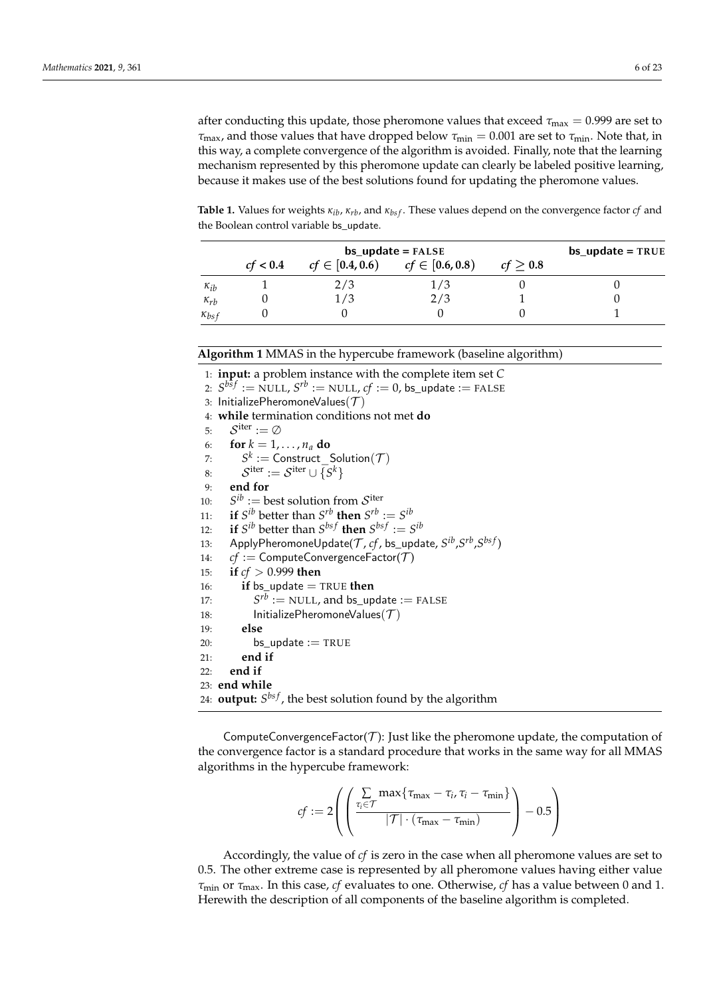after conducting this update, those pheromone values that exceed  $\tau_{\text{max}} = 0.999$  are set to  $\tau_{\text{max}}$ , and those values that have dropped below  $\tau_{\text{min}} = 0.001$  are set to  $\tau_{\text{min}}$ . Note that, in this way, a complete convergence of the algorithm is avoided. Finally, note that the learning mechanism represented by this pheromone update can clearly be labeled positive learning, because it makes use of the best solutions found for updating the pheromone values.

<span id="page-5-1"></span>**Table 1.** Values for weights *κib*, *κrb*, and *κbs f* . These values depend on the convergence factor *cf* and the Boolean control variable bs\_update.

|                |          | $bs\_update = TRUE$ |                     |               |  |
|----------------|----------|---------------------|---------------------|---------------|--|
|                | cf < 0.4 | $cf \in [0.4, 0.6)$ | $cf \in [0.6, 0.8)$ | $cf \geq 0.8$ |  |
| $\kappa_{ib}$  |          | 2/3                 | 1/3                 |               |  |
| $\kappa_{rb}$  |          |                     | 2/3                 |               |  |
| $\kappa_{bsf}$ |          |                     |                     |               |  |

<span id="page-5-0"></span>**Algorithm 1** MMAS in the hypercube framework (baseline algorithm)

1: **input:** a problem instance with the complete item set *C*  $\mathcal{S}^{bsf} := \mathrm{NULL}$ ,  $\mathcal{S}^{rb} := \mathrm{NULL}$ ,  $cf := 0$ , <code>bs\_update</code> := <code>FALSE</code> 3: InitializePheromoneValues $(\mathcal{T})$ 4: **while** termination conditions not met **do** 5:  $\mathcal{S}^{\text{iter}} := \emptyset$ 6: **for**  $k = 1, \ldots, n_a$  **do** 7: *S*  $\mathcal{C}^k := \mathsf{Construct\_Solution}(\mathcal{T})$ 8:  $\mathcal{S}^{\text{iter}} := \mathcal{S}^{\text{iter}} \cup \{S^k\}$ 9: **end for**  $10:$  $i^b :=$  best solution from  $\mathcal{S}^{\text{iter}}$ 11: **if**  $S^{ib}$  better than  $S^{rb}$  then  $S^{rb} := S^{ib}$ 12: **if**  $S^{ib}$  better than  $S^{bsf}$  then  $S^{bsf} := S^{ib}$ 13: ApplyPheromoneUpdate(T , *cf*, bs\_update, *S ib* ,*S rb* ,*S bs f*) 14:  $cf :=$  ComputeConvergenceFactor( $T$ ) 15: **if** *cf* > 0.999 **then** 16: **if** bs\_update  $=$  TRUE **then** 17: *S*  $S^{rb}$  := NULL, and bs update := FALSE 18: InitializePheromoneValues $(\mathcal{T})$ 19: **else** 20: bs\_update := TRUE 21: **end if** 22: **end if** 23: **end while** 24: **output:** *S bs f* , the best solution found by the algorithm

ComputeConvergenceFactor( $T$ ): Just like the pheromone update, the computation of the convergence factor is a standard procedure that works in the same way for all MMAS algorithms in the hypercube framework:

$$
cf := 2\left( \left( \frac{\sum\limits_{\tau_i \in \mathcal{T}} \max\{\tau_{\max} - \tau_i, \tau_i - \tau_{\min}\}}{|\mathcal{T}| \cdot (\tau_{\max} - \tau_{\min})} \right) - 0.5 \right)
$$

Accordingly, the value of *cf* is zero in the case when all pheromone values are set to 0.5. The other extreme case is represented by all pheromone values having either value *τ*min or *τ*max. In this case, *cf* evaluates to one. Otherwise, *cf* has a value between 0 and 1. Herewith the description of all components of the baseline algorithm is completed.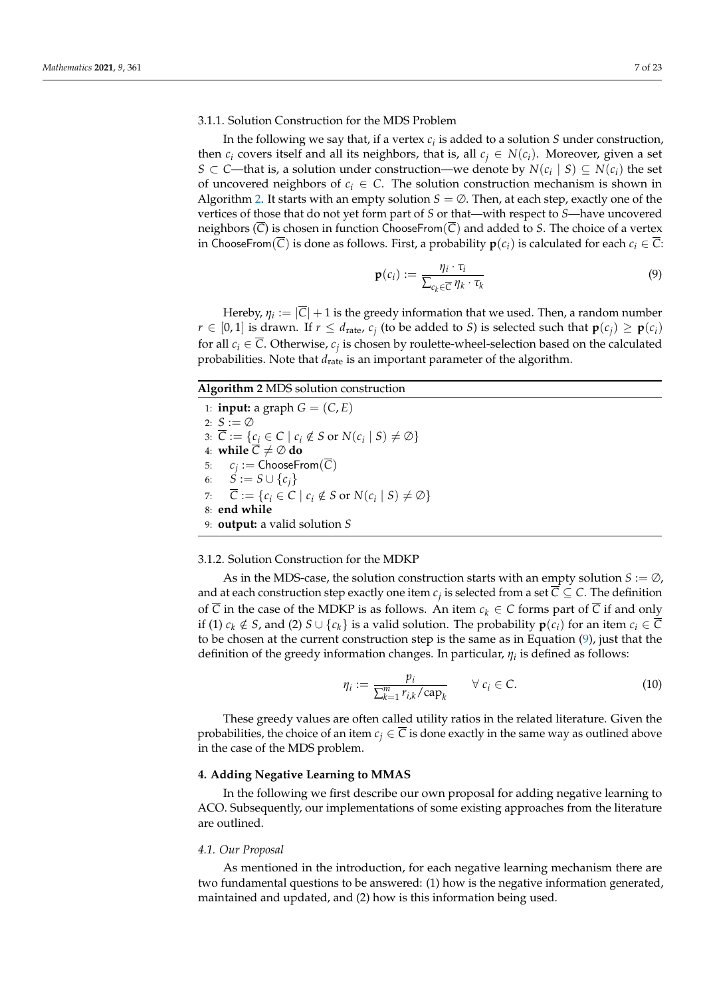# 3.1.1. Solution Construction for the MDS Problem

In the following we say that, if a vertex *c<sup>i</sup>* is added to a solution *S* under construction, then  $c_i$  covers itself and all its neighbors, that is, all  $c_i \in N(c_i)$ . Moreover, given a set *S* ⊂ *C*—that is, a solution under construction—we denote by  $N(c_i \mid S)$  ⊆  $N(c_i)$  the set of uncovered neighbors of  $c_i \in \mathbb{C}$ . The solution construction mechanism is shown in Algorithm [2.](#page-6-0) It starts with an empty solution  $S = \emptyset$ . Then, at each step, exactly one of the vertices of those that do not yet form part of *S* or that—with respect to *S*—have uncovered neighbors  $(\overline{C})$  is chosen in function ChooseFrom $(\overline{C})$  and added to *S*. The choice of a vertex in ChooseFrom( $\overline{C}$ ) is done as follows. First, a probability  $p(c_i)$  is calculated for each  $c_i \in \overline{C}$ :

<span id="page-6-1"></span>
$$
\mathbf{p}(c_i) := \frac{\eta_i \cdot \tau_i}{\sum_{c_k \in \overline{C}} \eta_k \cdot \tau_k} \tag{9}
$$

Hereby,  $\eta_i := |\overline{C}| + 1$  is the greedy information that we used. Then, a random number *r* ∈ [0,1] is drawn. If *r* ≤ *d*<sub>rate</sub>, *c*<sub>*j*</sub> (to be added to *S*) is selected such that  $\mathbf{p}(c_j) \geq \mathbf{p}(c_i)$ for all  $c_i \in \overline{C}$ . Otherwise,  $c_j$  is chosen by roulette-wheel-selection based on the calculated probabilities. Note that  $d_{\text{rate}}$  is an important parameter of the algorithm.

#### <span id="page-6-0"></span>**Algorithm 2** MDS solution construction

1: **input:** a graph  $G = (C, E)$ 2: *S* := ∅ 3:  $\overline{C} := \{ \underline{c_i} \in C \mid c_i \notin S \text{ or } N(c_i \mid S) \neq \emptyset \}$ 4: **while**  $\overline{C} \neq \emptyset$  **do** 5:  $c_j := \mathsf{ChooseFrom}(C)$ 6:  $\dot{S} := S \cup \{c_i\}$ 7:  $\overline{C} := \{c_i \in C \mid c_i \notin S \text{ or } N(c_i \mid S) \neq \emptyset\}$ 8: **end while** 9: **output:** a valid solution *S*

#### 3.1.2. Solution Construction for the MDKP

As in the MDS-case, the solution construction starts with an empty solution *S* := ∅, and at each construction step exactly one item  $c_j$  is selected from a set  $\overline{C} \subseteq C$ . The definition of  $\overline{C}$  in the case of the MDKP is as follows. An item  $c_k \in C$  forms part of  $\overline{C}$  if and only if (1)  $c_k \notin S$ , and (2)  $S \cup \{c_k\}$  is a valid solution. The probability  $\mathbf{p}(c_i)$  for an item  $c_i \in C$ to be chosen at the current construction step is the same as in Equation [\(9\)](#page-6-1), just that the definition of the greedy information changes. In particular, *η<sup>i</sup>* is defined as follows:

$$
\eta_i := \frac{p_i}{\sum_{k=1}^m r_{i,k}/\text{cap}_k} \qquad \forall \ c_i \in \mathcal{C}.\tag{10}
$$

These greedy values are often called utility ratios in the related literature. Given the probabilities, the choice of an item  $c_i \in \overline{C}$  is done exactly in the same way as outlined above in the case of the MDS problem.

## **4. Adding Negative Learning to MMAS**

In the following we first describe our own proposal for adding negative learning to ACO. Subsequently, our implementations of some existing approaches from the literature are outlined.

#### <span id="page-6-2"></span>*4.1. Our Proposal*

As mentioned in the introduction, for each negative learning mechanism there are two fundamental questions to be answered: (1) how is the negative information generated, maintained and updated, and (2) how is this information being used.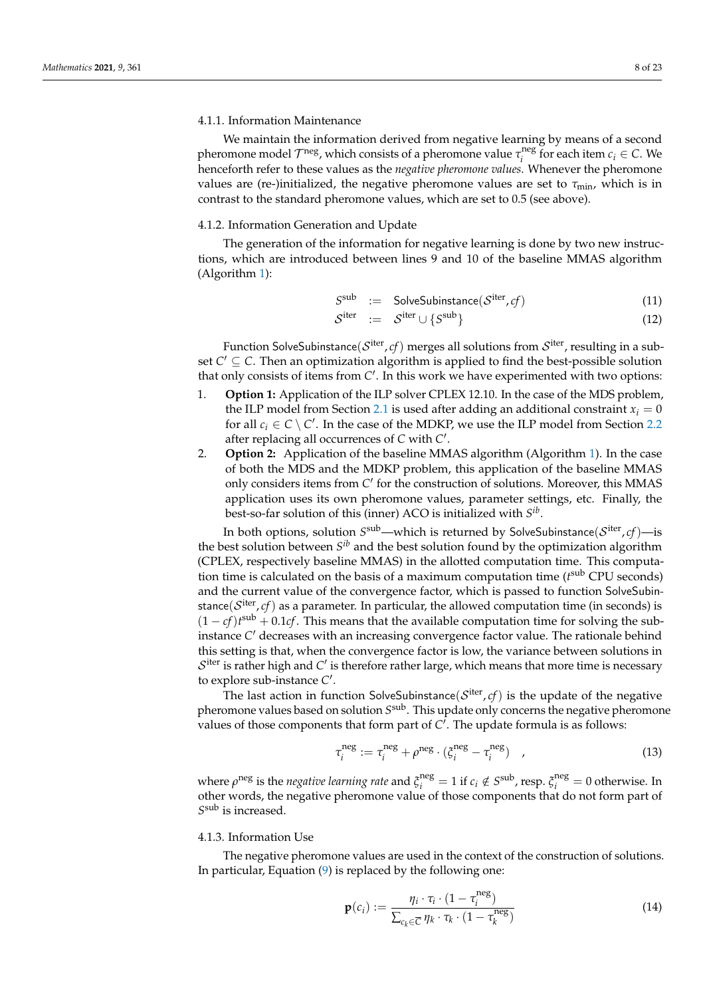#### 4.1.1. Information Maintenance

We maintain the information derived from negative learning by means of a second pheromone model *T*<sup>neg</sup>, which consists of a pheromone value  $\tau_i^{\text{neg}}$  $\sum_{i}^{n}$  for each item  $c_i \in \mathbb{C}$ . We henceforth refer to these values as the *negative pheromone values*. Whenever the pheromone values are (re-)initialized, the negative pheromone values are set to  $\tau_{\text{min}}$ , which is in contrast to the standard pheromone values, which are set to 0.5 (see above).

#### 4.1.2. Information Generation and Update

The generation of the information for negative learning is done by two new instructions, which are introduced between lines 9 and 10 of the baseline MMAS algorithm (Algorithm [1\)](#page-5-0):

<span id="page-7-0"></span>
$$
S^{\text{sub}} := \text{SolveSubinstance}(\mathcal{S}^{\text{iter}}, cf) \tag{11}
$$

$$
S^{\text{iter}} \quad := \quad S^{\text{iter}} \cup \{S^{\text{sub}}\} \tag{12}
$$

Function SolveSubinstance $(\mathcal{S}^{\text{iter}}, cf)$  merges all solutions from  $\mathcal{S}^{\text{iter}}$ , resulting in a subset  $C' \subseteq C$ . Then an optimization algorithm is applied to find the best-possible solution that only consists of items from C'. In this work we have experimented with two options:

- 1. **Option 1:** Application of the ILP solver CPLEX 12.10. In the case of the MDS problem, the ILP model from Section [2.1](#page-2-0) is used after adding an additional constraint  $x_i = 0$ for all  $c_i \in C \setminus C'$ . In the case of the MDKP, we use the ILP model from Section [2.2](#page-3-2) after replacing all occurrences of C with C'.
- 2. **Option 2:** Application of the baseline MMAS algorithm (Algorithm [1\)](#page-5-0). In the case of both the MDS and the MDKP problem, this application of the baseline MMAS only considers items from C' for the construction of solutions. Moreover, this MMAS application uses its own pheromone values, parameter settings, etc. Finally, the best-so-far solution of this (inner) ACO is initialized with *S ib* .

In both options, solution  $S^{\rm sub}$ —which is returned by SolveSubinstance $(\mathcal{S}^{\rm iter}, cf)$ —is the best solution between  $S^{ib}$  and the best solution found by the optimization algorithm (CPLEX, respectively baseline MMAS) in the allotted computation time. This computation time is calculated on the basis of a maximum computation time (*t*<sup>sub</sup> CPU seconds) and the current value of the convergence factor, which is passed to function SolveSubinstance $(\mathcal{S}^{\text{iter}}, c f)$  as a parameter. In particular, the allowed computation time (in seconds) is  $(1 - cf)t<sup>sub</sup> + 0.1cf$ . This means that the available computation time for solving the subinstance C' decreases with an increasing convergence factor value. The rationale behind this setting is that, when the convergence factor is low, the variance between solutions in  $\mathcal{S}^{\text{iter}}$  is rather high and  $\mathcal{C}'$  is therefore rather large, which means that more time is necessary to explore sub-instance C'.

The last action in function SolveSubinstance $(\mathcal{S}^{\text{iter}},cf)$  is the update of the negative pheromone values based on solution  $S^{\text{sub}}$  . This update only concerns the negative pheromone values of those components that form part of  $C<sup>T</sup>$ . The update formula is as follows:

$$
\tau_i^{\text{neg}} := \tau_i^{\text{neg}} + \rho^{\text{neg}} \cdot (\xi_i^{\text{neg}} - \tau_i^{\text{neg}}) \quad , \tag{13}
$$

where  $\rho^{\text{neg}}$  is the *negative learning rate* and  $\xi_i^{\text{neg}} = 1$  if  $c_i \notin S^{\text{sub}}$ , resp.  $\xi_i^{\text{neg}} = 0$  otherwise. In other words, the negative pheromone value of those components that do not form part of *S* sub is increased.

# 4.1.3. Information Use

The negative pheromone values are used in the context of the construction of solutions. In particular, Equation [\(9\)](#page-6-1) is replaced by the following one:

$$
\mathbf{p}(c_i) := \frac{\eta_i \cdot \tau_i \cdot (1 - \tau_i^{\text{neg}})}{\sum_{c_k \in \overline{C}} \eta_k \cdot \tau_k \cdot (1 - \tau_k^{\text{neg}})}
$$
(14)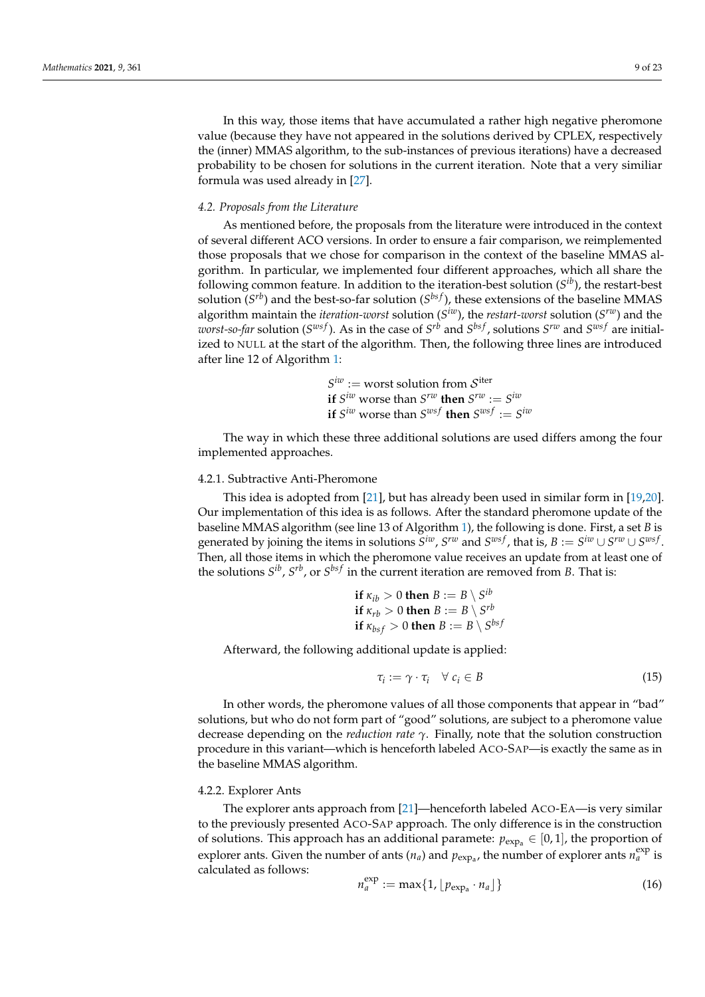In this way, those items that have accumulated a rather high negative pheromone value (because they have not appeared in the solutions derived by CPLEX, respectively the (inner) MMAS algorithm, to the sub-instances of previous iterations) have a decreased probability to be chosen for solutions in the current iteration. Note that a very similiar formula was used already in [\[27\]](#page-22-0).

# *4.2. Proposals from the Literature*

As mentioned before, the proposals from the literature were introduced in the context of several different ACO versions. In order to ensure a fair comparison, we reimplemented those proposals that we chose for comparison in the context of the baseline MMAS algorithm. In particular, we implemented four different approaches, which all share the following common feature. In addition to the iteration-best solution (*S ib*), the restart-best solution (*S<sup>rb</sup>*) and the best-so-far solution (*S<sup>bsf</sup>*), these extensions of the baseline MMAS algorithm maintain the *iteration-worst* solution (*S iw*), the *restart-worst* solution (*S rw*) and the *worst-so-far* solution ( $S^{ws}$ ). As in the case of  $S^{rb}$  and  $S^{bs}$ , solutions  $S^{rw}$  and  $S^{ws}$  are initialized to NULL at the start of the algorithm. Then, the following three lines are introduced after line 12 of Algorithm [1:](#page-5-0)

> $S^{iw}$  := worst solution from  $S^{iter}$ **if**  $S^{iw}$  worse than  $S^{rw}$  **then**  $S^{rw} := S^{iw}$ **if**  $S^{iw}$  worse than  $S^{wsf}$  **then**  $S^{wsf} := S^{iw}$

The way in which these three additional solutions are used differs among the four implemented approaches.

# 4.2.1. Subtractive Anti-Pheromone

This idea is adopted from [\[21\]](#page-21-20), but has already been used in similar form in [\[19,](#page-21-18)[20\]](#page-21-19). Our implementation of this idea is as follows. After the standard pheromone update of the baseline MMAS algorithm (see line 13 of Algorithm [1\)](#page-5-0), the following is done. First, a set *B* is generated by joining the items in solutions  $S^{iw}$ ,  $S^{rw}$  and  $S^{ws}f$ , that is,  $B := S^{iw} \cup S^{rw} \cup S^{ws}f$ . Then, all those items in which the pheromone value receives an update from at least one of the solutions  $S^{ib}$ ,  $S^{rb}$ , or  $S^{bsf}$  in the current iteration are removed from *B*. That is:

\n if 
$$
\kappa_{ib} > 0
$$
 then  $B := B \setminus S^{ib}$  if  $\kappa_{rb} > 0$  then  $B := B \setminus S^{rb}$  if  $\kappa_{bsf} > 0$  then  $B := B \setminus S^{bsf}$ \n

Afterward, the following additional update is applied:

$$
\tau_i := \gamma \cdot \tau_i \quad \forall \ c_i \in B \tag{15}
$$

In other words, the pheromone values of all those components that appear in "bad" solutions, but who do not form part of "good" solutions, are subject to a pheromone value decrease depending on the *reduction rate γ*. Finally, note that the solution construction procedure in this variant—which is henceforth labeled ACO-SAP—is exactly the same as in the baseline MMAS algorithm.

# 4.2.2. Explorer Ants

The explorer ants approach from [\[21\]](#page-21-20)—henceforth labeled ACO-EA—is very similar to the previously presented ACO-SAP approach. The only difference is in the construction of solutions. This approach has an additional paramete:  $p_{\text{exp}_a} \in [0,1]$ , the proportion of explorer ants. Given the number of ants  $(n_a)$  and  $p_{exp_a}$ , the number of explorer ants  $n_a^{exp}$  is calculated as follows:

$$
n_a^{\text{exp}} := \max\{1, \lfloor p_{\text{exp}_a} \cdot n_a \rfloor\} \tag{16}
$$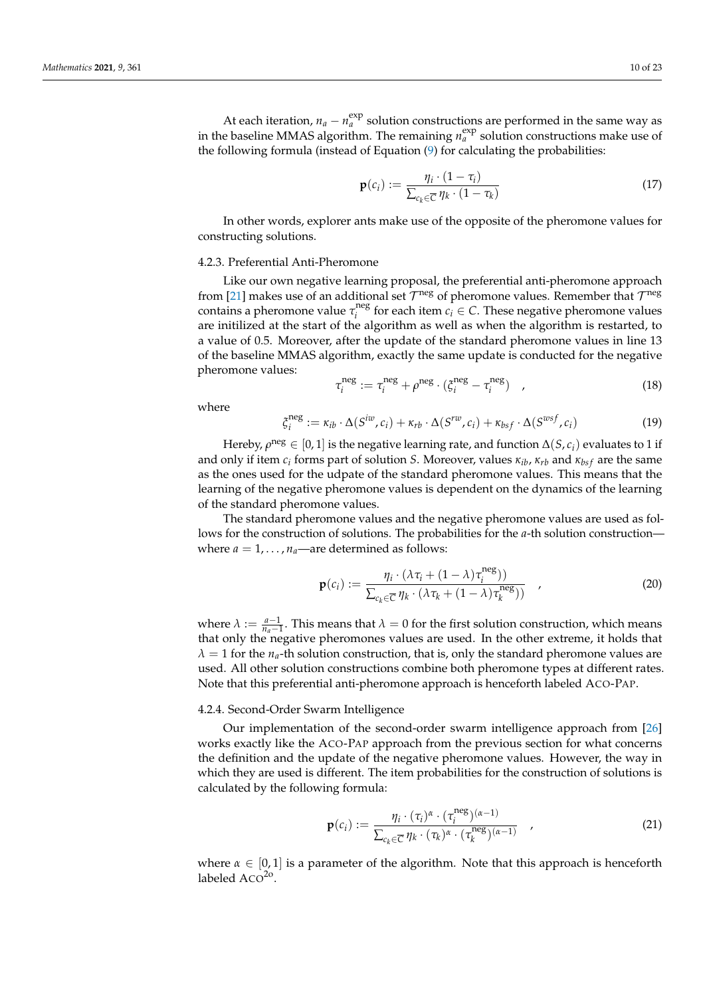At each iteration,  $n_a - n_a^{\text{exp}}$  solution constructions are performed in the same way as in the baseline MMAS algorithm. The remaining  $n_a^{\text{exp}}$  solution constructions make use of the following formula (instead of Equation [\(9\)](#page-6-1) for calculating the probabilities:

$$
\mathbf{p}(c_i) := \frac{\eta_i \cdot (1 - \tau_i)}{\sum_{c_k \in \overline{C}} \eta_k \cdot (1 - \tau_k)}
$$
(17)

In other words, explorer ants make use of the opposite of the pheromone values for constructing solutions.

#### 4.2.3. Preferential Anti-Pheromone

Like our own negative learning proposal, the preferential anti-pheromone approach from [\[21\]](#page-21-20) makes use of an additional set  $\mathcal{T}^{\text{neg}}$  of pheromone values. Remember that  $\mathcal{T}^{\text{neg}}$ contains a pheromone value *τ* neg  $\mathcal{C}_i$ <sup>tieg</sup> for each item  $c_i \in \mathcal{C}$ . These negative pheromone values are initilized at the start of the algorithm as well as when the algorithm is restarted, to a value of 0.5. Moreover, after the update of the standard pheromone values in line 13 of the baseline MMAS algorithm, exactly the same update is conducted for the negative pheromone values:

$$
\tau_i^{\text{neg}} := \tau_i^{\text{neg}} + \rho^{\text{neg}} \cdot (\xi_i^{\text{neg}} - \tau_i^{\text{neg}}) \quad , \tag{18}
$$

where

$$
\xi_i^{\text{neg}} := \kappa_{ib} \cdot \Delta(S^{iw}, c_i) + \kappa_{rb} \cdot \Delta(S^{rw}, c_i) + \kappa_{bsf} \cdot \Delta(S^{wsf}, c_i)
$$
\n(19)

Hereby,  $\rho^{\text{neg}} \in [0,1]$  is the negative learning rate, and function  $\Delta(S, c_i)$  evaluates to 1 if and only if item *c<sup>i</sup>* forms part of solution *S*. Moreover, values *κib*, *κrb* and *κbs f* are the same as the ones used for the udpate of the standard pheromone values. This means that the learning of the negative pheromone values is dependent on the dynamics of the learning of the standard pheromone values.

The standard pheromone values and the negative pheromone values are used as follows for the construction of solutions. The probabilities for the *a*-th solution construction where  $a = 1, \ldots, n_a$ —are determined as follows:

$$
\mathbf{p}(c_i) := \frac{\eta_i \cdot (\lambda \tau_i + (1 - \lambda)\tau_i^{\text{neg}})}{\sum_{c_k \in \overline{C}} \eta_k \cdot (\lambda \tau_k + (1 - \lambda)\tau_k^{\text{neg}}))}, \qquad (20)
$$

where  $\lambda := \frac{a-1}{n_a-1}$ . This means that  $\lambda = 0$  for the first solution construction, which means that only the negative pheromones values are used. In the other extreme, it holds that  $\lambda = 1$  for the *n<sub>a</sub>*-th solution construction, that is, only the standard pheromone values are used. All other solution constructions combine both pheromone types at different rates. Note that this preferential anti-pheromone approach is henceforth labeled ACO-PAP.

## 4.2.4. Second-Order Swarm Intelligence

Our implementation of the second-order swarm intelligence approach from [\[26\]](#page-21-25) works exactly like the ACO-PAP approach from the previous section for what concerns the definition and the update of the negative pheromone values. However, the way in which they are used is different. The item probabilities for the construction of solutions is calculated by the following formula:

$$
\mathbf{p}(c_i) := \frac{\eta_i \cdot (\tau_i)^{\alpha} \cdot (\tau_i^{\text{neg}})^{(\alpha-1)}}{\sum_{c_k \in \overline{C}} \eta_k \cdot (\tau_k)^{\alpha} \cdot (\tau_k^{\text{neg}})^{(\alpha-1)}} \quad , \tag{21}
$$

where  $\alpha \in [0,1]$  is a parameter of the algorithm. Note that this approach is henceforth labeled ACO<sup>20</sup>.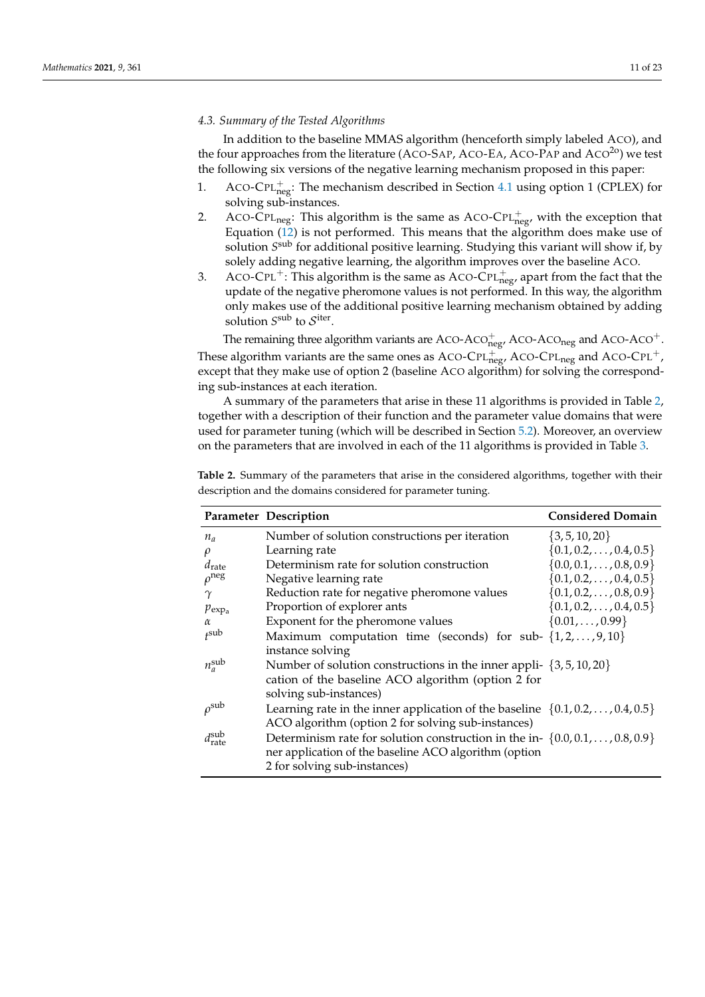# *4.3. Summary of the Tested Algorithms*

In addition to the baseline MMAS algorithm (henceforth simply labeled ACO), and the four approaches from the literature (ACO-SAP, ACO-EA, ACO-PAP and  $ACO<sup>20</sup>$ ) we test the following six versions of the negative learning mechanism proposed in this paper:

- 1. ACO-CPL $_{\text{neg}}^{+}$ : The mechanism described in Section [4.1](#page-6-2) using option 1 (CPLEX) for solving sub-instances.
- 2. ACO-CPL<sub>neg</sub>: This algorithm is the same as ACO-CPL<sup>+</sup><sub>neg</sub>, with the exception that Equation [\(12\)](#page-7-0) is not performed. This means that the algorithm does make use of solution  $S^{\rm sub}$  for additional positive learning. Studying this variant will show if, by solely adding negative learning, the algorithm improves over the baseline ACO.
- 3. ACO-CPL<sup>+</sup>: This algorithm is the same as ACO-CPL<sup>+</sup><sub>neg</sub>, apart from the fact that the update of the negative pheromone values is not performed. In this way, the algorithm only makes use of the additional positive learning mechanism obtained by adding solution  $S^{\text{sub}}$  to  $S^{\text{iter}}$ .

The remaining three algorithm variants are ACO-ACO $_{\text{neg}}^+$ , ACO-ACO<sub>neg</sub> and ACO-ACO<sup>+</sup>. These algorithm variants are the same ones as ACO-CPL $_{\text{neg}}^{+}$ , ACO-CPL<sub>neg</sub> and ACO-CPL<sup>+</sup>, except that they make use of option 2 (baseline ACO algorithm) for solving the corresponding sub-instances at each iteration.

A summary of the parameters that arise in these 11 algorithms is provided in Table [2,](#page-10-0) together with a description of their function and the parameter value domains that were used for parameter tuning (which will be described in Section [5.2\)](#page-11-0). Moreover, an overview on the parameters that are involved in each of the 11 algorithms is provided in Table [3.](#page-11-1)

|                                | Parameter Description                                                                   | <b>Considered Domain</b>         |
|--------------------------------|-----------------------------------------------------------------------------------------|----------------------------------|
| $n_a$                          | Number of solution constructions per iteration                                          | $\{3, 5, 10, 20\}$               |
| $\rho$                         | Learning rate                                                                           | $\{0.1, 0.2, \ldots, 0.4, 0.5\}$ |
| $d_{\text{rate}}$              | Determinism rate for solution construction                                              | $\{0.0, 0.1, \ldots, 0.8, 0.9\}$ |
| $\rho$ <sup>neg</sup>          | Negative learning rate                                                                  | $\{0.1, 0.2, \ldots, 0.4, 0.5\}$ |
| $\gamma$                       | Reduction rate for negative pheromone values                                            | $\{0.1, 0.2, \ldots, 0.8, 0.9\}$ |
| $p_{exp_a}$                    | Proportion of explorer ants                                                             | $\{0.1, 0.2, \ldots, 0.4, 0.5\}$ |
| $\alpha$                       | Exponent for the pheromone values                                                       | $\{0.01, \ldots, 0.99\}$         |
| f <sub>sub</sub>               | Maximum computation time (seconds) for sub- $\{1, 2, , 9, 10\}$                         |                                  |
|                                | instance solving                                                                        |                                  |
| $n_a^{\text{sub}}$             | Number of solution constructions in the inner appli- $\{3, 5, 10, 20\}$                 |                                  |
|                                | cation of the baseline ACO algorithm (option 2 for                                      |                                  |
|                                | solving sub-instances)                                                                  |                                  |
| $\rho^{\rm sub}$               | Learning rate in the inner application of the baseline $\{0.1, 0.2, \ldots, 0.4, 0.5\}$ |                                  |
|                                | ACO algorithm (option 2 for solving sub-instances)                                      |                                  |
| $d_{\text{rate}}^{\text{sub}}$ | Determinism rate for solution construction in the in- $\{0.0, 0.1, \ldots, 0.8, 0.9\}$  |                                  |
|                                | ner application of the baseline ACO algorithm (option                                   |                                  |
|                                | 2 for solving sub-instances)                                                            |                                  |

<span id="page-10-0"></span>**Table 2.** Summary of the parameters that arise in the considered algorithms, together with their description and the domains considered for parameter tuning.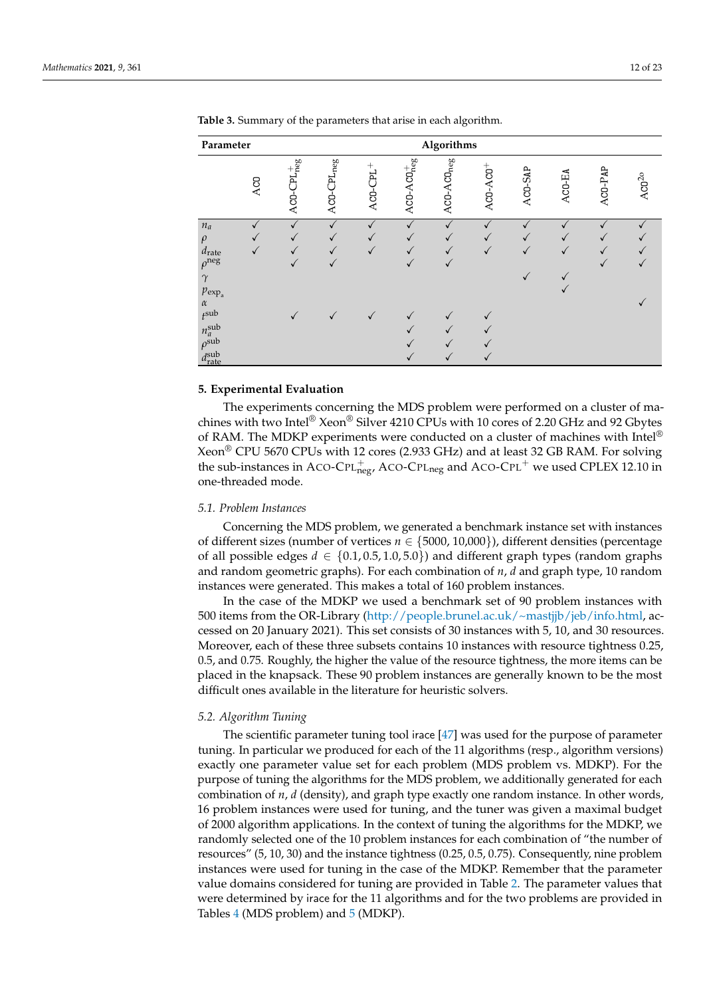| Parameter                                                                                                   |     |                   |                          |                   | Algorithms                 |                        |            |                      |        |         |                |
|-------------------------------------------------------------------------------------------------------------|-----|-------------------|--------------------------|-------------------|----------------------------|------------------------|------------|----------------------|--------|---------|----------------|
|                                                                                                             | ACO | $ACO-CPL_{neg}^+$ | $\triangle CO-CPL_{neg}$ | $^{+}$<br>ACO-CPL | $AGO-ACO_{\text{neg}}^{+}$ | ACO-ACO <sub>neg</sub> | $ACO-ACO+$ | AC <sub>0</sub> -SAP | ACO-EA | ACO-PAP | $\rm ACO^{2o}$ |
| $n_a$<br>$\rho$<br>$d_{\rm rate}$<br>$\rho^{\rm neg}$<br>$\gamma$<br>$p_{\exp_{\mathrm{a}}}$                |     |                   |                          |                   |                            |                        |            |                      |        |         |                |
| $\alpha$<br>$t^{\text{sub}}$<br>$n_a^{\text{sub}}$<br>$\rho^{\text{sub}}$<br>$d_{\text{rate}}^{\text{sub}}$ |     |                   |                          |                   |                            |                        |            |                      |        |         |                |

<span id="page-11-1"></span>**Table 3.** Summary of the parameters that arise in each algorithm.

#### **5. Experimental Evaluation**

The experiments concerning the MDS problem were performed on a cluster of machines with two Intel® Xeon® Silver 4210 CPUs with 10 cores of 2.20 GHz and 92 Gbytes of RAM. The MDKP experiments were conducted on a cluster of machines with Intel<sup>®</sup> Xeon® CPU 5670 CPUs with 12 cores (2.933 GHz) and at least 32 GB RAM. For solving the sub-instances in ACO-CPL $_{\text{neg}}^{+}$  ACO-CPL<sub>neg</sub> and ACO-CPL<sup>+</sup> we used CPLEX 12.10 in one-threaded mode.

#### *5.1. Problem Instances*

Concerning the MDS problem, we generated a benchmark instance set with instances of different sizes (number of vertices *n* ∈ {5000, 10,000}), different densities (percentage of all possible edges  $d \in \{0.1, 0.5, 1.0, 5.0\}$  and different graph types (random graphs and random geometric graphs). For each combination of *n*, *d* and graph type, 10 random instances were generated. This makes a total of 160 problem instances.

In the case of the MDKP we used a benchmark set of 90 problem instances with 500 items from the OR-Library [\(http://people.brunel.ac.uk/~mastjjb/jeb/info.html,](http://people.brunel.ac.uk/~mastjjb/jeb/info.html) accessed on 20 January 2021). This set consists of 30 instances with 5, 10, and 30 resources. Moreover, each of these three subsets contains 10 instances with resource tightness 0.25, 0.5, and 0.75. Roughly, the higher the value of the resource tightness, the more items can be placed in the knapsack. These 90 problem instances are generally known to be the most difficult ones available in the literature for heuristic solvers.

# <span id="page-11-0"></span>*5.2. Algorithm Tuning*

The scientific parameter tuning tool irace [\[47\]](#page-22-18) was used for the purpose of parameter tuning. In particular we produced for each of the 11 algorithms (resp., algorithm versions) exactly one parameter value set for each problem (MDS problem vs. MDKP). For the purpose of tuning the algorithms for the MDS problem, we additionally generated for each combination of *n*, *d* (density), and graph type exactly one random instance. In other words, 16 problem instances were used for tuning, and the tuner was given a maximal budget of 2000 algorithm applications. In the context of tuning the algorithms for the MDKP, we randomly selected one of the 10 problem instances for each combination of "the number of resources" (5, 10, 30) and the instance tightness (0.25, 0.5, 0.75). Consequently, nine problem instances were used for tuning in the case of the MDKP. Remember that the parameter value domains considered for tuning are provided in Table [2.](#page-10-0) The parameter values that were determined by irace for the 11 algorithms and for the two problems are provided in Tables [4](#page-12-0) (MDS problem) and [5](#page-12-1) (MDKP).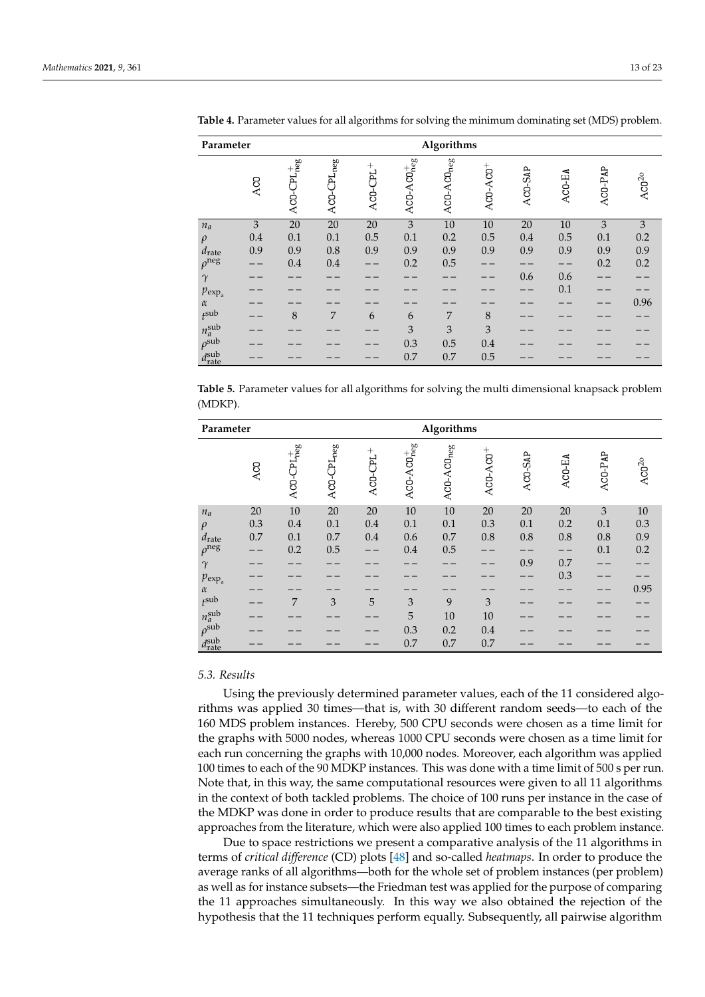| Parameter                      |     |                   |                        |                   |                   | Algorithms             |            |         |        |         |                |
|--------------------------------|-----|-------------------|------------------------|-------------------|-------------------|------------------------|------------|---------|--------|---------|----------------|
|                                | ACO | $ACO-CPL_{neg}^+$ | ACO-CPL <sub>neg</sub> | $^{+}$<br>ACO-CPL | $ACD-ACD_{neg}^+$ | ACD-ACD <sub>neg</sub> | $ACO-ACO+$ | ACO-SAP | ACO-EA | ACO-PAP | $\rm ACO^{2o}$ |
| $n_a$                          | 3   | $20\,$            | $\overline{20}$        | $20\,$            | $\overline{3}$    | $10\,$                 | $10\,$     | 20      | 10     | 3       | 3              |
| $\rho$                         | 0.4 | 0.1               | 0.1                    | 0.5               | 0.1               | 0.2                    | 0.5        | 0.4     | 0.5    | 0.1     | 0.2            |
| $d_{\text{rate}}$              | 0.9 | 0.9               | $0.8\,$                | 0.9               | 0.9               | 0.9                    | 0.9        | 0.9     | 0.9    | 0.9     | 0.9            |
| $\rho$ <sup>neg</sup>          |     | 0.4               | $0.4\,$                |                   | 0.2               | 0.5                    |            |         |        | 0.2     | 0.2            |
| $\gamma$                       |     |                   |                        |                   |                   |                        |            | 0.6     | 0.6    |         |                |
| $p_{exp_a}$                    |     |                   |                        |                   |                   |                        |            |         | 0.1    |         |                |
| $\alpha$                       |     |                   |                        |                   |                   |                        |            |         |        |         | 0.96           |
| $t^{\text{sub}}$               |     | 8                 | 7                      | 6                 | 6                 | 7                      | 8          |         |        |         |                |
| $n_a^{\text{sub}}$             |     |                   |                        |                   | 3                 | 3                      | 3          |         |        |         |                |
| $\rho^{\text{sub}}$            |     |                   |                        |                   | 0.3               | 0.5                    | 0.4        |         |        |         |                |
| $d_{\text{rate}}^{\text{sub}}$ |     |                   |                        |                   | 0.7               | 0.7                    | 0.5        |         |        |         |                |

<span id="page-12-0"></span>**Table 4.** Parameter values for all algorithms for solving the minimum dominating set (MDS) problem.

<span id="page-12-1"></span>**Table 5.** Parameter values for all algorithms for solving the multi dimensional knapsack problem (MDKP).

| Parameter                      |        | Algorithms        |                 |            |                                               |                        |            |         |        |                             |                |
|--------------------------------|--------|-------------------|-----------------|------------|-----------------------------------------------|------------------------|------------|---------|--------|-----------------------------|----------------|
|                                | ACO    | $ACO-CPL_{neg}^+$ | $ACO-CPLneg$    | $ACO-CDL+$ | $\mathsf{ACO\text{-}ACO}^\text{+}_\text{neg}$ | ACD-ACD <sub>neg</sub> | $ACO-ACO+$ | ACO-SAP | ACO-EA | ACO-PAP                     | $\rm ACO^{2o}$ |
| $n_a$                          | $20\,$ | $\overline{10}$   | $\overline{20}$ | $20\,$     | $\overline{10}$                               | $\overline{10}$        | 20         | $20\,$  | 20     | $\ensuremath{\mathfrak{Z}}$ | $10\,$         |
| $\rho$                         | 0.3    | 0.4               | 0.1             | 0.4        | 0.1                                           | 0.1                    | 0.3        | 0.1     | 0.2    | 0.1                         | 0.3            |
| $d_{\rm rate}$                 | 0.7    | 0.1               | 0.7             | 0.4        | 0.6                                           | 0.7                    | $0.8\,$    | $0.8\,$ | 0.8    | 0.8                         | 0.9            |
| $\rho$ <sup>neg</sup>          |        | 0.2               | 0.5             |            | 0.4                                           | 0.5                    |            |         |        | 0.1                         | 0.2            |
| $\gamma$                       |        |                   |                 |            |                                               |                        |            | 0.9     | 0.7    |                             |                |
| $p_{\exp_a}$                   |        |                   |                 |            |                                               |                        |            |         | 0.3    |                             |                |
| $\alpha$                       |        |                   |                 |            |                                               |                        |            |         |        |                             | 0.95           |
| $t^{\text{sub}}$               |        | 7                 | 3               | 5          | 3                                             | 9                      | 3          |         |        |                             |                |
| $n_a^{\text{sub}}$             |        |                   |                 |            | 5                                             | 10                     | 10         |         |        |                             |                |
| $\rho^{\text{sub}}$            |        |                   |                 |            | 0.3                                           | 0.2                    | 0.4        |         |        |                             |                |
| $d_{\text{rate}}^{\text{sub}}$ |        |                   |                 |            | 0.7                                           | 0.7                    | 0.7        |         |        |                             |                |

## *5.3. Results*

Using the previously determined parameter values, each of the 11 considered algorithms was applied 30 times—that is, with 30 different random seeds—to each of the 160 MDS problem instances. Hereby, 500 CPU seconds were chosen as a time limit for the graphs with 5000 nodes, whereas 1000 CPU seconds were chosen as a time limit for each run concerning the graphs with 10,000 nodes. Moreover, each algorithm was applied 100 times to each of the 90 MDKP instances. This was done with a time limit of 500 s per run. Note that, in this way, the same computational resources were given to all 11 algorithms in the context of both tackled problems. The choice of 100 runs per instance in the case of the MDKP was done in order to produce results that are comparable to the best existing approaches from the literature, which were also applied 100 times to each problem instance.

Due to space restrictions we present a comparative analysis of the 11 algorithms in terms of *critical difference* (CD) plots [\[48\]](#page-22-19) and so-called *heatmaps*. In order to produce the average ranks of all algorithms—both for the whole set of problem instances (per problem) as well as for instance subsets—the Friedman test was applied for the purpose of comparing the 11 approaches simultaneously. In this way we also obtained the rejection of the hypothesis that the 11 techniques perform equally. Subsequently, all pairwise algorithm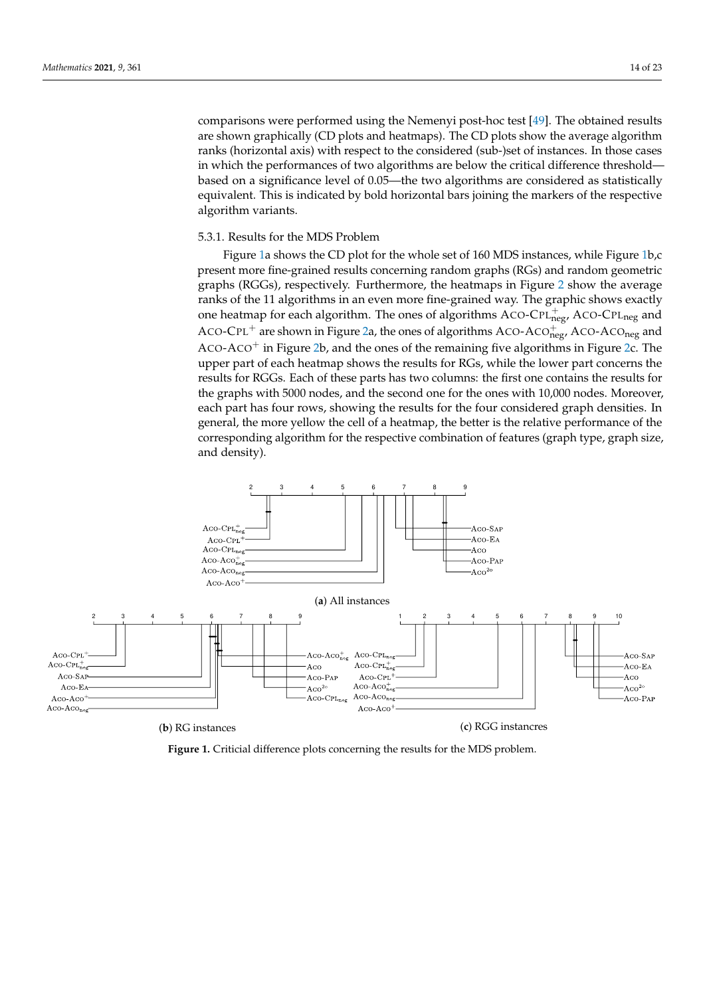comparisons were performed using the Nemenyi post-hoc test [\[49\]](#page-22-20). The obtained results are shown graphically (CD plots and heatmaps). The CD plots show the average algorithm ranks (horizontal axis) with respect to the considered (sub-)set of instances. In those cases in which the performances of two algorithms are below the critical difference threshold based on a significance level of 0.05—the two algorithms are considered as statistically equivalent. This is indicated by bold horizontal bars joining the markers of the respective algorithm variants.

# 5.3.1. Results for the MDS Problem

Figure [1a](#page-13-0) shows the CD plot for the whole set of 160 MDS instances, while Figure [1b](#page-13-0),c present more fine-grained results concerning random graphs (RGs) and random geometric graphs (RGGs), respectively. Furthermore, the heatmaps in Figure [2](#page-14-0) show the average ranks of the 11 algorithms in an even more fine-grained way. The graphic shows exactly one heatmap for each algorithm. The ones of algorithms  $ACO-CPL_{\text{neg}}^{+}$ ,  $ACO-CPL_{\text{neg}}$  and ACO-CPL<sup>+</sup> are shown in Figure [2a](#page-14-0), the ones of algorithms ACO-ACO $_{\text{neg}}^+$ , ACO-ACO<sub>neg</sub> and ACO-ACO<sup>+</sup> in Figure [2b](#page-14-0), and the ones of the remaining five algorithms in Figure [2c](#page-14-0). The upper part of each heatmap shows the results for RGs, while the lower part concerns the results for RGGs. Each of these parts has two columns: the first one contains the results for the graphs with 5000 nodes, and the second one for the ones with 10,000 nodes. Moreover, each part has four rows, showing the results for the four considered graph densities. In general, the more yellow the cell of a heatmap, the better is the relative performance of the corresponding algorithm for the respective combination of features (graph type, graph size, and density).

<span id="page-13-0"></span>

**Figure 1.** Criticial difference plots concerning the results for the MDS problem.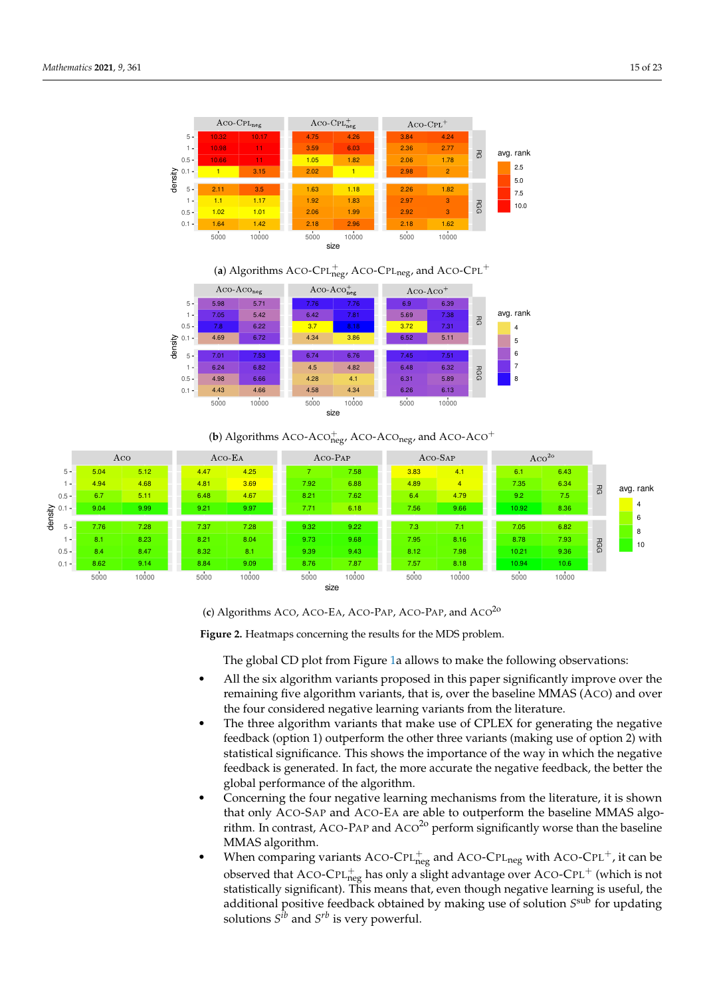<span id="page-14-0"></span>

# (a) Algorithms ACO-CPL $_{\text{neg}}^{+}$ , ACO-CPL<sub>neg</sub>, and ACO-CPL<sup>+</sup>



(**b**) Algorithms ACO-ACO $_{\text{neg}}^+$  ACO-ACO<sub>neg</sub>, and ACO-ACO<sup>+</sup>



(**c**) Algorithms ACO, ACO-EA, ACO-PAP, ACO-PAP, and ACO2o

**Figure 2.** Heatmaps concerning the results for the MDS problem.

The global CD plot from Figure [1a](#page-13-0) allows to make the following observations:

- All the six algorithm variants proposed in this paper significantly improve over the remaining five algorithm variants, that is, over the baseline MMAS (ACO) and over the four considered negative learning variants from the literature.
- The three algorithm variants that make use of CPLEX for generating the negative feedback (option 1) outperform the other three variants (making use of option 2) with statistical significance. This shows the importance of the way in which the negative feedback is generated. In fact, the more accurate the negative feedback, the better the global performance of the algorithm.
- Concerning the four negative learning mechanisms from the literature, it is shown that only ACO-SAP and ACO-EA are able to outperform the baseline MMAS algorithm. In contrast, ACO-PAP and  $ACO<sup>20</sup>$  perform significantly worse than the baseline MMAS algorithm.
- When comparing variants ACO-CPL $_{\text{neg}}^+$  and ACO-CPL<sub>neg</sub> with ACO-CPL<sup>+</sup>, it can be observed that ACO-CPL $_{\rm neg}^+$  has only a slight advantage over ACO-CPL $^+$  (which is not statistically significant). This means that, even though negative learning is useful, the additional positive feedback obtained by making use of solution *S* sub for updating solutions  $S^{ib}$  and  $S^{rb}$  is very powerful.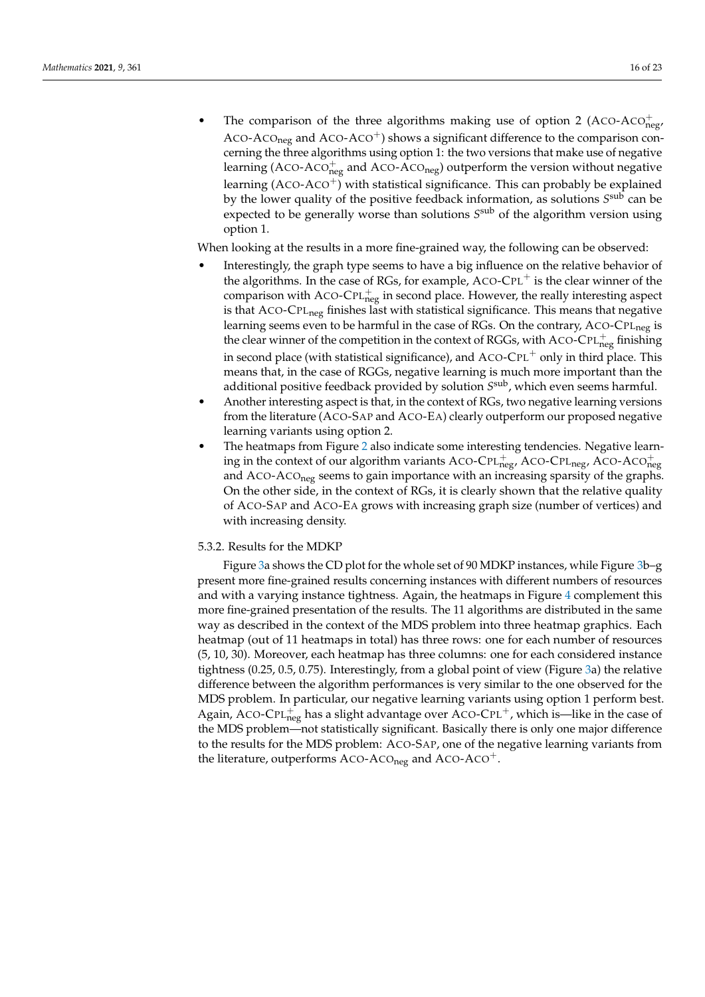• The comparison of the three algorithms making use of option 2 (ACO-ACO $_{\text{neg}}^{+}$ ) ACO-ACO<sub>neg</sub> and ACO-ACO<sup>+</sup>) shows a significant difference to the comparison concerning the three algorithms using option 1: the two versions that make use of negative learning (ACO-ACO $_{\text{neg}}^{+}$  and ACO-ACO<sub>neg</sub>) outperform the version without negative learning  $(ACO-ACO<sup>+</sup>)$  with statistical significance. This can probably be explained by the lower quality of the positive feedback information, as solutions  $S^{\rm sub}$  can be expected to be generally worse than solutions *S* sub of the algorithm version using option 1.

When looking at the results in a more fine-grained way, the following can be observed:

- Interestingly, the graph type seems to have a big influence on the relative behavior of the algorithms. In the case of RGs, for example,  $ACO-CPL<sup>+</sup>$  is the clear winner of the comparison with ACO-CPL $_{\text{neg}}^{+}$  in second place. However, the really interesting aspect is that ACO-CPL<sub>neg</sub> finishes last with statistical significance. This means that negative learning seems even to be harmful in the case of RGs. On the contrary, ACO-CPL<sub>neg</sub> is the clear winner of the competition in the context of RGGs, with ACO-CPL $_{\text{neg}}^{+}$  finishing in second place (with statistical significance), and  $ACO-CPL^+$  only in third place. This means that, in the case of RGGs, negative learning is much more important than the additional positive feedback provided by solution  $S^{\rm sub}$ , which even seems harmful.
- Another interesting aspect is that, in the context of RGs, two negative learning versions from the literature (ACO-SAP and ACO-EA) clearly outperform our proposed negative learning variants using option 2.
- The heatmaps from Figure [2](#page-14-0) also indicate some interesting tendencies. Negative learning in the context of our algorithm variants ACO-CPL $_{\text{neg}}^{+}$ , ACO-CPL<sub>neg</sub>, ACO-ACO $_{\text{neg}}^{+}$ and ACO-ACO<sub>neg</sub> seems to gain importance with an increasing sparsity of the graphs. On the other side, in the context of RGs, it is clearly shown that the relative quality of ACO-SAP and ACO-EA grows with increasing graph size (number of vertices) and with increasing density.

# 5.3.2. Results for the MDKP

Figure [3a](#page-16-0) shows the CD plot for the whole set of 90 MDKP instances, while Figure [3b](#page-16-0)–g present more fine-grained results concerning instances with different numbers of resources and with a varying instance tightness. Again, the heatmaps in Figure [4](#page-17-0) complement this more fine-grained presentation of the results. The 11 algorithms are distributed in the same way as described in the context of the MDS problem into three heatmap graphics. Each heatmap (out of 11 heatmaps in total) has three rows: one for each number of resources (5, 10, 30). Moreover, each heatmap has three columns: one for each considered instance tightness (0.25, 0.5, 0.75). Interestingly, from a global point of view (Figure [3a](#page-16-0)) the relative difference between the algorithm performances is very similar to the one observed for the MDS problem. In particular, our negative learning variants using option 1 perform best. Again, ACO-CPL $_{\text{neg}}^{+}$  has a slight advantage over ACO-CPL<sup>+</sup>, which is—like in the case of the MDS problem—not statistically significant. Basically there is only one major difference to the results for the MDS problem: ACO-SAP, one of the negative learning variants from the literature, outperforms ACO-ACO<sub>neg</sub> and ACO-ACO<sup>+</sup>.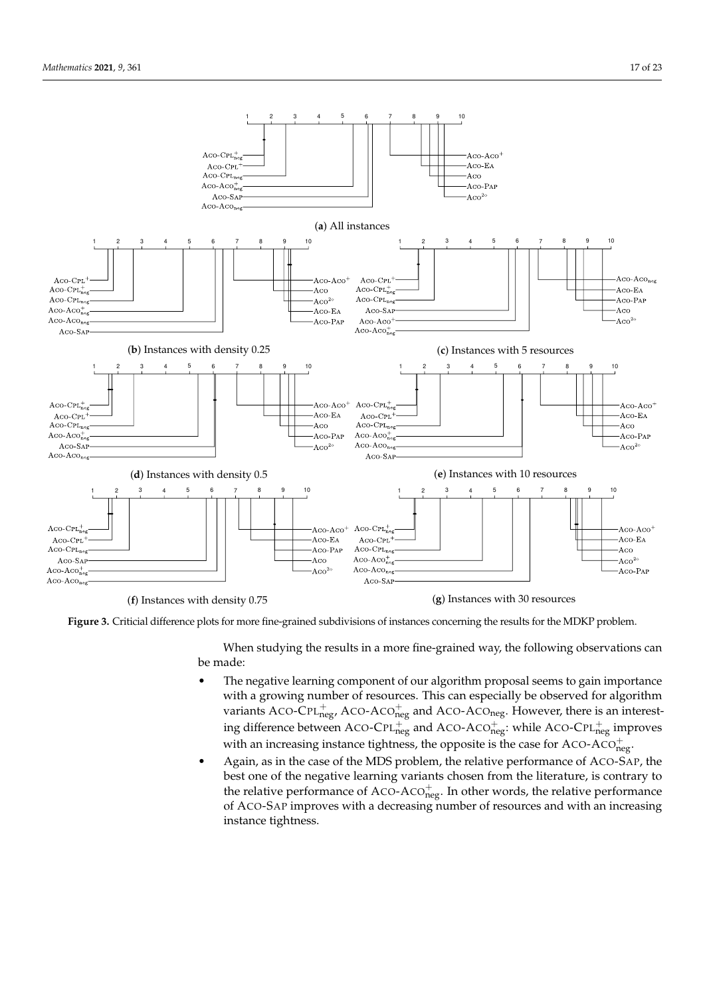<span id="page-16-0"></span>

**Figure 3.** Criticial difference plots for more fine-grained subdivisions of instances concerning the results for the MDKP problem.

When studying the results in a more fine-grained way, the following observations can be made:

- The negative learning component of our algorithm proposal seems to gain importance with a growing number of resources. This can especially be observed for algorithm variants ACO-CPL $_{\text{neg}}^{+}$ , ACO-ACO $_{\text{neg}}^{+}$  and ACO-ACO<sub>neg</sub>. However, there is an interesting difference between ACO-CPL $_{\text{neg}}^{+}$  and ACO-ACO $_{\text{neg}}^{+}$ : while ACO-CPL $_{\text{neg}}^{+}$  improves with an increasing instance tightness, the opposite is the case for ACO-ACO $_{\text{neg}}^{+}$ .
- Again, as in the case of the MDS problem, the relative performance of ACO-SAP, the best one of the negative learning variants chosen from the literature, is contrary to the relative performance of ACO-ACO $_{\text{neg}}^{+}$ . In other words, the relative performance of ACO-SAP improves with a decreasing number of resources and with an increasing instance tightness.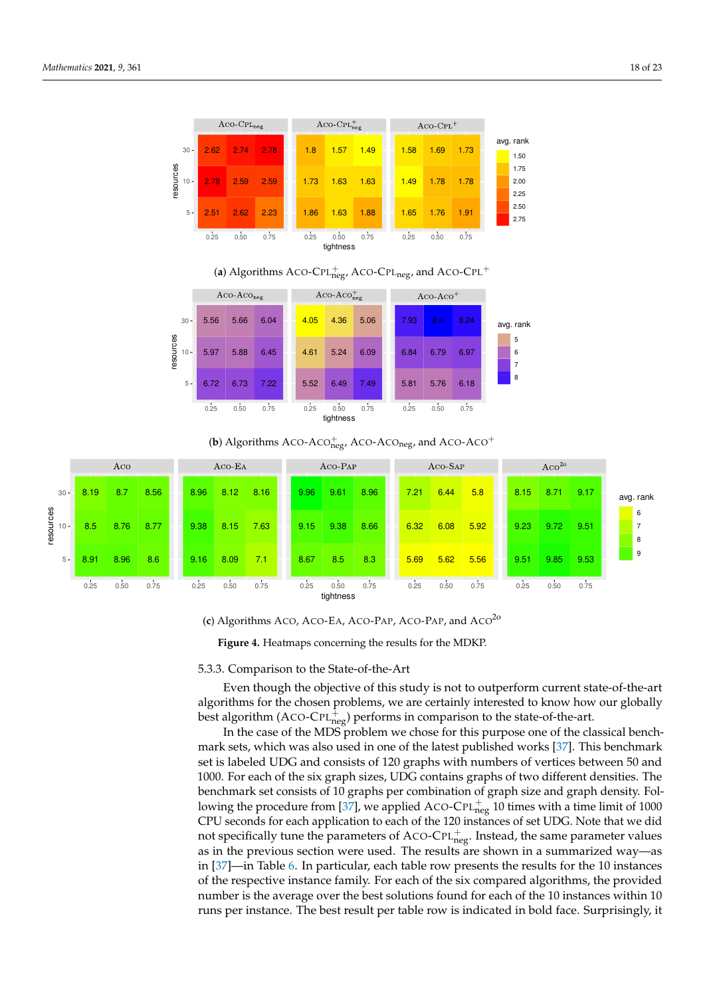<span id="page-17-0"></span>

# (a) Algorithms ACO-CPL $_{\text{neg}}^{+}$ , ACO-CPL<sub>neg</sub>, and ACO-CPL<sup>+</sup>



(**b**) Algorithms ACO-ACO $_{\text{neg}}^{+}$  ACO-ACO<sub>neg</sub>, and ACO-ACO<sup>+</sup>



(**c**) Algorithms ACO, ACO-EA, ACO-PAP, ACO-PAP, and ACO2o

**Figure 4.** Heatmaps concerning the results for the MDKP.

#### 5.3.3. Comparison to the State-of-the-Art

Even though the objective of this study is not to outperform current state-of-the-art algorithms for the chosen problems, we are certainly interested to know how our globally best algorithm (ACO-CPL $_{\text{neg}}^{\ddagger}$ ) performs in comparison to the state-of-the-art.

In the case of the MDS problem we chose for this purpose one of the classical benchmark sets, which was also used in one of the latest published works [\[37\]](#page-22-10). This benchmark set is labeled UDG and consists of 120 graphs with numbers of vertices between 50 and 1000. For each of the six graph sizes, UDG contains graphs of two different densities. The benchmark set consists of 10 graphs per combination of graph size and graph density. Fol-lowing the procedure from [\[37\]](#page-22-10), we applied ACO-CPL $_{\text{neg}}^{+}$  10 times with a time limit of 1000 CPU seconds for each application to each of the 120 instances of set UDG. Note that we did not specifically tune the parameters of ACO-CPL $_{\text{neg}}^{+}$ . Instead, the same parameter values as in the previous section were used. The results are shown in a summarized way—as in [\[37\]](#page-22-10)—in Table [6.](#page-18-0) In particular, each table row presents the results for the 10 instances of the respective instance family. For each of the six compared algorithms, the provided number is the average over the best solutions found for each of the 10 instances within 10 runs per instance. The best result per table row is indicated in bold face. Surprisingly, it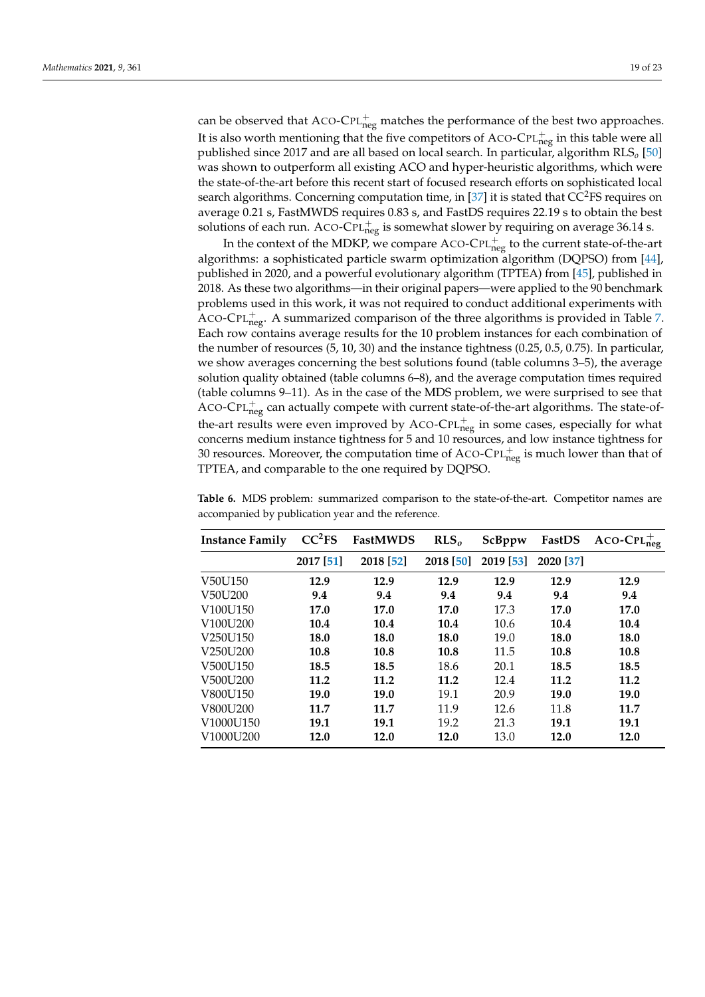can be observed that ACO-CPL $_{\text{neg}}^{+}$  matches the performance of the best two approaches. It is also worth mentioning that the five competitors of ACO-CPL $_{\mathrm{neg}}^{+}$  in this table were all published since 2017 and are all based on local search. In particular, algorithm RLS*o* [\[50\]](#page-22-21) was shown to outperform all existing ACO and hyper-heuristic algorithms, which were the state-of-the-art before this recent start of focused research efforts on sophisticated local search algorithms. Concerning computation time, in [\[37\]](#page-22-10) it is stated that  $CC<sup>2</sup>FS$  requires on average 0.21 s, FastMWDS requires 0.83 s, and FastDS requires 22.19 s to obtain the best solutions of each run. ACO-CPL $_{\text{neg}}^{+}$  is somewhat slower by requiring on average 36.14 s.

In the context of the MDKP, we compare ACO-CPL $_{\text{neg}}^{+}$  to the current state-of-the-art algorithms: a sophisticated particle swarm optimization algorithm (DQPSO) from [\[44\]](#page-22-15), published in 2020, and a powerful evolutionary algorithm (TPTEA) from [\[45\]](#page-22-16), published in 2018. As these two algorithms—in their original papers—were applied to the 90 benchmark problems used in this work, it was not required to conduct additional experiments with ACO-CPL $_{\text{neg}}^{+}$ . A summarized comparison of the three algorithms is provided in Table [7.](#page-19-0) Each row contains average results for the 10 problem instances for each combination of the number of resources (5, 10, 30) and the instance tightness (0.25, 0.5, 0.75). In particular, we show averages concerning the best solutions found (table columns 3–5), the average solution quality obtained (table columns 6–8), and the average computation times required (table columns 9–11). As in the case of the MDS problem, we were surprised to see that ACO-CPL $_{\text{neg}}^{+}$  can actually compete with current state-of-the-art algorithms. The state-ofthe-art results were even improved by ACO-CPL $_{\text{neg}}^{+}$  in some cases, especially for what concerns medium instance tightness for 5 and 10 resources, and low instance tightness for 30 resources. Moreover, the computation time of ACO-CPL $_{\text{neg}}^{+}$  is much lower than that of TPTEA, and comparable to the one required by DQPSO.

| <b>Instance Family</b>            | CC <sup>2</sup> FS | <b>FastMWDS</b> | RLS <sub>o</sub> | ScBppw    | FastDS    | $ACO-CPL_{neg}^+$ |
|-----------------------------------|--------------------|-----------------|------------------|-----------|-----------|-------------------|
|                                   | 2017 [51]          | 2018 [52]       | 2018 [50]        | 2019 [53] | 2020 [37] |                   |
| V50U150                           | 12.9               | 12.9            | 12.9             | 12.9      | 12.9      | 12.9              |
| V50U200                           | 9.4                | 9.4             | 9.4              | 9.4       | 9.4       | 9.4               |
| V100U150                          | 17.0               | 17.0            | 17.0             | 17.3      | 17.0      | 17.0              |
| V100U200                          | 10.4               | 10.4            | 10.4             | 10.6      | 10.4      | 10.4              |
| V <sub>250</sub> U <sub>150</sub> | 18.0               | 18.0            | 18.0             | 19.0      | 18.0      | 18.0              |
| V250U200                          | 10.8               | 10.8            | 10.8             | 11.5      | 10.8      | 10.8              |
| V500U150                          | 18.5               | 18.5            | 18.6             | 20.1      | 18.5      | 18.5              |
| V500U200                          | 11.2               | 11.2            | 11.2             | 12.4      | 11.2      | 11.2              |
| V800U150                          | 19.0               | 19.0            | 19.1             | 20.9      | 19.0      | 19.0              |
| V800U200                          | 11.7               | 11.7            | 11.9             | 12.6      | 11.8      | 11.7              |
| V1000U150                         | 19.1               | 19.1            | 19.2             | 21.3      | 19.1      | 19.1              |
| V1000U200                         | 12.0               | 12.0            | 12.0             | 13.0      | 12.0      | 12.0              |

<span id="page-18-0"></span>**Table 6.** MDS problem: summarized comparison to the state-of-the-art. Competitor names are accompanied by publication year and the reference.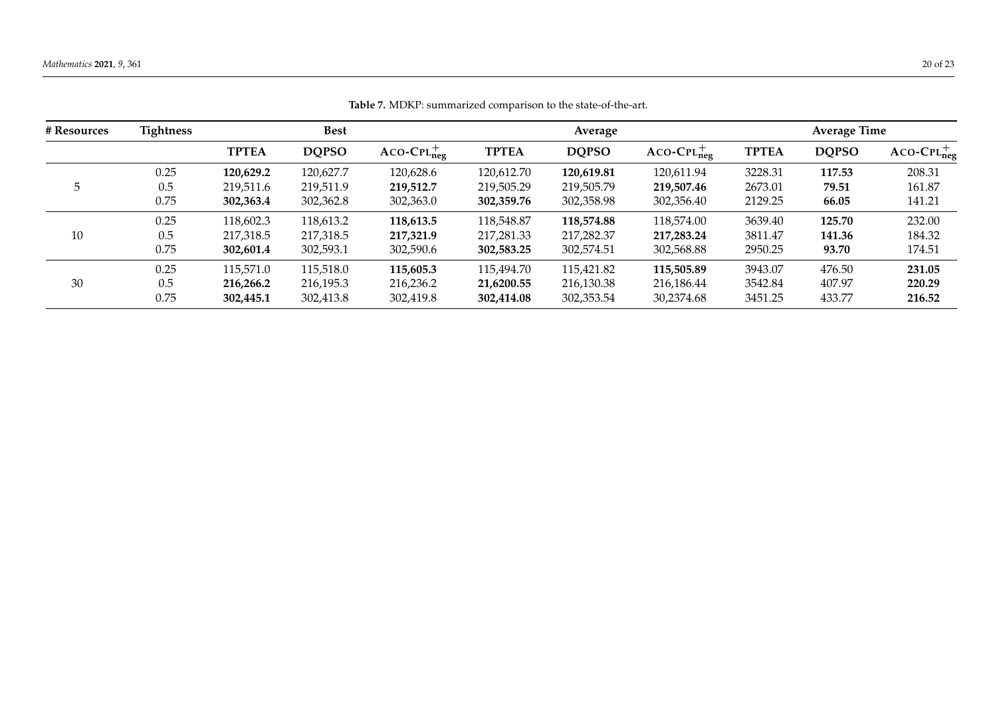<span id="page-19-0"></span>

| # Resources | <b>Tightness</b> | <b>Best</b>  |              |               |              |              | <b>Average Time</b> |              |              |               |
|-------------|------------------|--------------|--------------|---------------|--------------|--------------|---------------------|--------------|--------------|---------------|
|             |                  | <b>TPTEA</b> | <b>DQPSO</b> | $ACO-CPLneg+$ | <b>TPTEA</b> | <b>DQPSO</b> | $ACO-CPLneq+$       | <b>TPTEA</b> | <b>DQPSO</b> | $ACO-CPLneq+$ |
|             | 0.25             | 120,629.2    | 120,627.7    | 120,628.6     | 120,612.70   | 120,619.81   | 120,611.94          | 3228.31      | 117.53       | 208.31        |
| 5           | 0.5              | 219,511.6    | 219,511.9    | 219,512.7     | 219,505.29   | 219,505.79   | 219,507.46          | 2673.01      | 79.51        | 161.87        |
|             | 0.75             | 302,363.4    | 302,362.8    | 302,363.0     | 302,359.76   | 302,358.98   | 302,356.40          | 2129.25      | 66.05        | 141.21        |
|             | 0.25             | 118,602.3    | 118,613.2    | 118,613.5     | 118,548.87   | 118,574.88   | 118,574.00          | 3639.40      | 125.70       | 232.00        |
| 10          | 0.5              | 217,318.5    | 217.318.5    | 217,321.9     | 217,281.33   | 217,282.37   | 217,283.24          | 3811.47      | 141.36       | 184.32        |
|             | 0.75             | 302,601.4    | 302,593.1    | 302,590.6     | 302,583.25   | 302,574.51   | 302,568.88          | 2950.25      | 93.70        | 174.51        |
|             | 0.25             | 115,571.0    | 115,518.0    | 115,605.3     | 115,494.70   | 115,421.82   | 115,505.89          | 3943.07      | 476.50       | 231.05        |
| 30          | 0.5              | 216,266.2    | 216,195.3    | 216,236.2     | 21,6200.55   | 216,130.38   | 216,186.44          | 3542.84      | 407.97       | 220.29        |
|             | 0.75             | 302,445.1    | 302,413.8    | 302,419.8     | 302,414.08   | 302,353.54   | 30,2374.68          | 3451.25      | 433.77       | 216.52        |

**Table 7.** MDKP: summarized comparison to the state-of-the-art.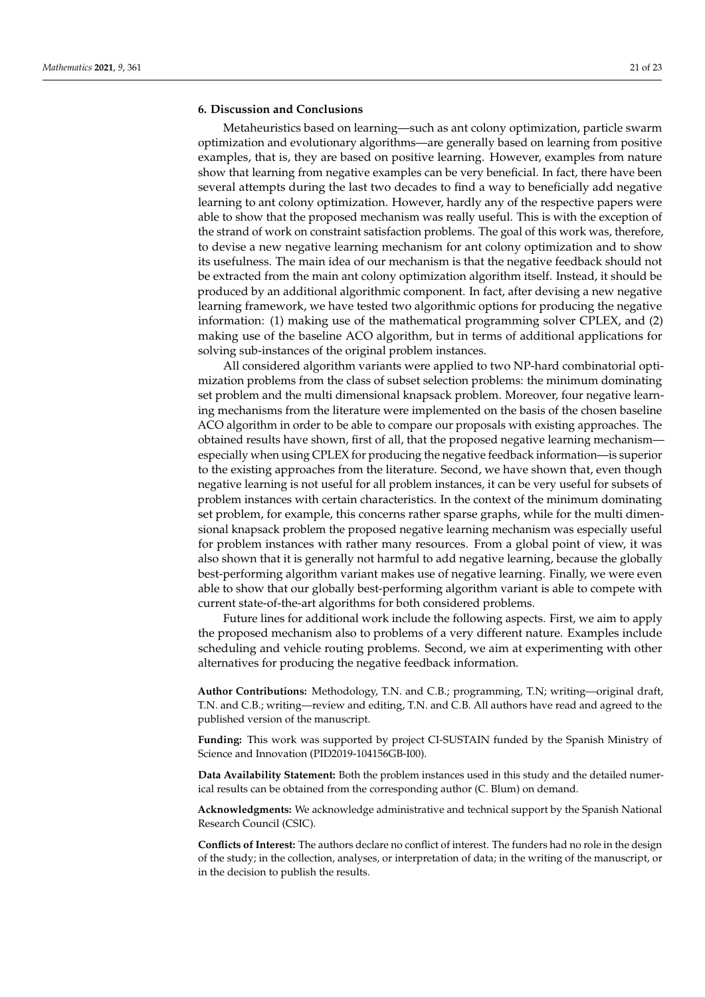# **6. Discussion and Conclusions**

Metaheuristics based on learning—such as ant colony optimization, particle swarm optimization and evolutionary algorithms—are generally based on learning from positive examples, that is, they are based on positive learning. However, examples from nature show that learning from negative examples can be very beneficial. In fact, there have been several attempts during the last two decades to find a way to beneficially add negative learning to ant colony optimization. However, hardly any of the respective papers were able to show that the proposed mechanism was really useful. This is with the exception of the strand of work on constraint satisfaction problems. The goal of this work was, therefore, to devise a new negative learning mechanism for ant colony optimization and to show its usefulness. The main idea of our mechanism is that the negative feedback should not be extracted from the main ant colony optimization algorithm itself. Instead, it should be produced by an additional algorithmic component. In fact, after devising a new negative learning framework, we have tested two algorithmic options for producing the negative information: (1) making use of the mathematical programming solver CPLEX, and (2) making use of the baseline ACO algorithm, but in terms of additional applications for solving sub-instances of the original problem instances.

All considered algorithm variants were applied to two NP-hard combinatorial optimization problems from the class of subset selection problems: the minimum dominating set problem and the multi dimensional knapsack problem. Moreover, four negative learning mechanisms from the literature were implemented on the basis of the chosen baseline ACO algorithm in order to be able to compare our proposals with existing approaches. The obtained results have shown, first of all, that the proposed negative learning mechanism especially when using CPLEX for producing the negative feedback information—is superior to the existing approaches from the literature. Second, we have shown that, even though negative learning is not useful for all problem instances, it can be very useful for subsets of problem instances with certain characteristics. In the context of the minimum dominating set problem, for example, this concerns rather sparse graphs, while for the multi dimensional knapsack problem the proposed negative learning mechanism was especially useful for problem instances with rather many resources. From a global point of view, it was also shown that it is generally not harmful to add negative learning, because the globally best-performing algorithm variant makes use of negative learning. Finally, we were even able to show that our globally best-performing algorithm variant is able to compete with current state-of-the-art algorithms for both considered problems.

Future lines for additional work include the following aspects. First, we aim to apply the proposed mechanism also to problems of a very different nature. Examples include scheduling and vehicle routing problems. Second, we aim at experimenting with other alternatives for producing the negative feedback information.

**Author Contributions:** Methodology, T.N. and C.B.; programming, T.N; writing—original draft, T.N. and C.B.; writing—review and editing, T.N. and C.B. All authors have read and agreed to the published version of the manuscript.

**Funding:** This work was supported by project CI-SUSTAIN funded by the Spanish Ministry of Science and Innovation (PID2019-104156GB-I00).

**Data Availability Statement:** Both the problem instances used in this study and the detailed numerical results can be obtained from the corresponding author (C. Blum) on demand.

**Acknowledgments:** We acknowledge administrative and technical support by the Spanish National Research Council (CSIC).

**Conflicts of Interest:** The authors declare no conflict of interest. The funders had no role in the design of the study; in the collection, analyses, or interpretation of data; in the writing of the manuscript, or in the decision to publish the results.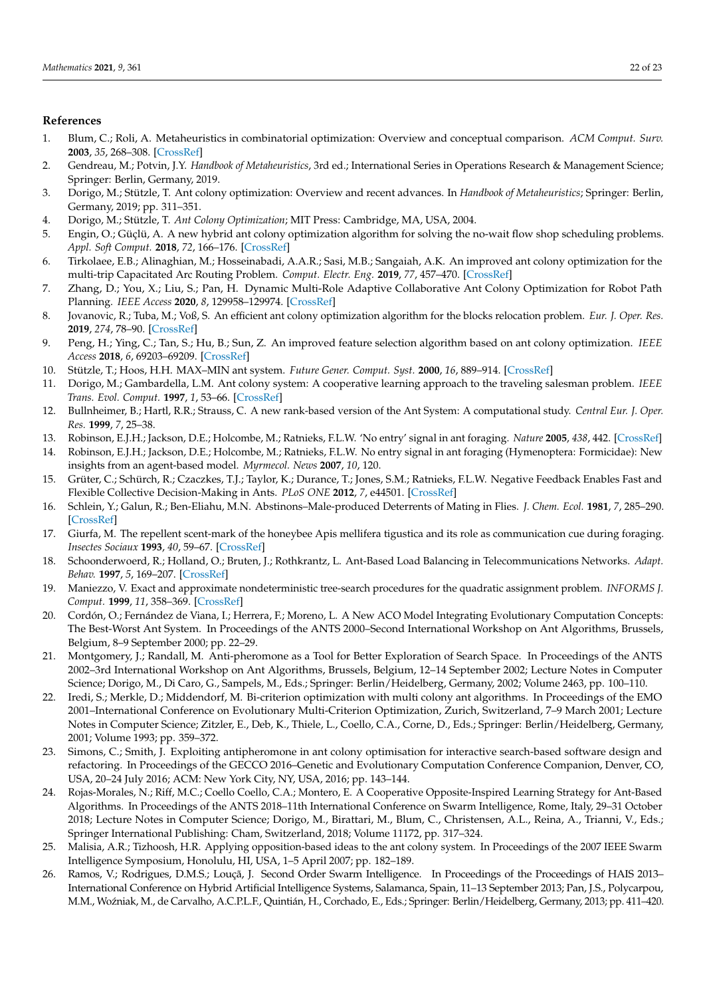# **References**

- <span id="page-21-0"></span>1. Blum, C.; Roli, A. Metaheuristics in combinatorial optimization: Overview and conceptual comparison. *ACM Comput. Surv.* **2003**, *35*, 268–308. [\[CrossRef\]](http://doi.org/10.1145/937503.937505)
- <span id="page-21-1"></span>2. Gendreau, M.; Potvin, J.Y. *Handbook of Metaheuristics*, 3rd ed.; International Series in Operations Research & Management Science; Springer: Berlin, Germany, 2019.
- <span id="page-21-2"></span>3. Dorigo, M.; Stützle, T. Ant colony optimization: Overview and recent advances. In *Handbook of Metaheuristics*; Springer: Berlin, Germany, 2019; pp. 311–351.
- <span id="page-21-3"></span>4. Dorigo, M.; Stützle, T. *Ant Colony Optimization*; MIT Press: Cambridge, MA, USA, 2004.
- <span id="page-21-4"></span>5. Engin, O.; Güçlü, A. A new hybrid ant colony optimization algorithm for solving the no-wait flow shop scheduling problems. *Appl. Soft Comput.* **2018**, *72*, 166–176. [\[CrossRef\]](http://dx.doi.org/10.1016/j.asoc.2018.08.002)
- <span id="page-21-5"></span>6. Tirkolaee, E.B.; Alinaghian, M.; Hosseinabadi, A.A.R.; Sasi, M.B.; Sangaiah, A.K. An improved ant colony optimization for the multi-trip Capacitated Arc Routing Problem. *Comput. Electr. Eng.* **2019**, *77*, 457–470. [\[CrossRef\]](http://dx.doi.org/10.1016/j.compeleceng.2018.01.040)
- <span id="page-21-6"></span>7. Zhang, D.; You, X.; Liu, S.; Pan, H. Dynamic Multi-Role Adaptive Collaborative Ant Colony Optimization for Robot Path Planning. *IEEE Access* **2020**, *8*, 129958–129974. [\[CrossRef\]](http://dx.doi.org/10.1109/ACCESS.2020.3009399)
- <span id="page-21-7"></span>8. Jovanovic, R.; Tuba, M.; Voß, S. An efficient ant colony optimization algorithm for the blocks relocation problem. *Eur. J. Oper. Res.* **2019**, *274*, 78–90. [\[CrossRef\]](http://dx.doi.org/10.1016/j.ejor.2018.09.038)
- <span id="page-21-8"></span>9. Peng, H.; Ying, C.; Tan, S.; Hu, B.; Sun, Z. An improved feature selection algorithm based on ant colony optimization. *IEEE Access* **2018**, *6*, 69203–69209. [\[CrossRef\]](http://dx.doi.org/10.1109/ACCESS.2018.2879583)
- <span id="page-21-9"></span>10. Stützle, T.; Hoos, H.H. MAX–MIN ant system. *Future Gener. Comput. Syst.* **2000**, *16*, 889–914. [\[CrossRef\]](http://dx.doi.org/10.1016/S0167-739X(00)00043-1)
- <span id="page-21-10"></span>11. Dorigo, M.; Gambardella, L.M. Ant colony system: A cooperative learning approach to the traveling salesman problem. *IEEE Trans. Evol. Comput.* **1997**, *1*, 53–66. [\[CrossRef\]](http://dx.doi.org/10.1109/4235.585892)
- <span id="page-21-11"></span>12. Bullnheimer, B.; Hartl, R.R.; Strauss, C. A new rank-based version of the Ant System: A computational study. *Central Eur. J. Oper. Res.* **1999**, *7*, 25–38.
- <span id="page-21-12"></span>13. Robinson, E.J.H.; Jackson, D.E.; Holcombe, M.; Ratnieks, F.L.W. 'No entry' signal in ant foraging. *Nature* **2005**, *438*, 442. [\[CrossRef\]](http://dx.doi.org/10.1038/438442a)
- <span id="page-21-13"></span>14. Robinson, E.J.H.; Jackson, D.E.; Holcombe, M.; Ratnieks, F.L.W. No entry signal in ant foraging (Hymenoptera: Formicidae): New insights from an agent-based model. *Myrmecol. News* **2007**, *10*, 120.
- <span id="page-21-14"></span>15. Grüter, C.; Schürch, R.; Czaczkes, T.J.; Taylor, K.; Durance, T.; Jones, S.M.; Ratnieks, F.L.W. Negative Feedback Enables Fast and Flexible Collective Decision-Making in Ants. *PLoS ONE* **2012**, *7*, e44501. [\[CrossRef\]](http://dx.doi.org/10.1371/journal.pone.0044501)
- <span id="page-21-15"></span>16. Schlein, Y.; Galun, R.; Ben-Eliahu, M.N. Abstinons–Male-produced Deterrents of Mating in Flies. *J. Chem. Ecol.* **1981**, *7*, 285–290. [\[CrossRef\]](http://dx.doi.org/10.1007/BF00995751)
- <span id="page-21-16"></span>17. Giurfa, M. The repellent scent-mark of the honeybee Apis mellifera tigustica and its role as communication cue during foraging. *Insectes Sociaux* **1993**, *40*, 59–67. [\[CrossRef\]](http://dx.doi.org/10.1007/BF01338832)
- <span id="page-21-17"></span>18. Schoonderwoerd, R.; Holland, O.; Bruten, J.; Rothkrantz, L. Ant-Based Load Balancing in Telecommunications Networks. *Adapt. Behav.* **1997**, *5*, 169–207. [\[CrossRef\]](http://dx.doi.org/10.1177/105971239700500203)
- <span id="page-21-18"></span>19. Maniezzo, V. Exact and approximate nondeterministic tree-search procedures for the quadratic assignment problem. *INFORMS J. Comput.* **1999**, *11*, 358–369. [\[CrossRef\]](http://dx.doi.org/10.1287/ijoc.11.4.358)
- <span id="page-21-19"></span>20. Cordón, O.; Fernández de Viana, I.; Herrera, F.; Moreno, L. A New ACO Model Integrating Evolutionary Computation Concepts: The Best-Worst Ant System. In Proceedings of the ANTS 2000–Second International Workshop on Ant Algorithms, Brussels, Belgium, 8–9 September 2000; pp. 22–29.
- <span id="page-21-20"></span>21. Montgomery, J.; Randall, M. Anti-pheromone as a Tool for Better Exploration of Search Space. In Proceedings of the ANTS 2002–3rd International Workshop on Ant Algorithms, Brussels, Belgium, 12–14 September 2002; Lecture Notes in Computer Science; Dorigo, M., Di Caro, G., Sampels, M., Eds.; Springer: Berlin/Heidelberg, Germany, 2002; Volume 2463, pp. 100–110.
- <span id="page-21-21"></span>22. Iredi, S.; Merkle, D.; Middendorf, M. Bi-criterion optimization with multi colony ant algorithms. In Proceedings of the EMO 2001–International Conference on Evolutionary Multi-Criterion Optimization, Zurich, Switzerland, 7–9 March 2001; Lecture Notes in Computer Science; Zitzler, E., Deb, K., Thiele, L., Coello, C.A., Corne, D., Eds.; Springer: Berlin/Heidelberg, Germany, 2001; Volume 1993; pp. 359–372.
- <span id="page-21-22"></span>23. Simons, C.; Smith, J. Exploiting antipheromone in ant colony optimisation for interactive search-based software design and refactoring. In Proceedings of the GECCO 2016–Genetic and Evolutionary Computation Conference Companion, Denver, CO, USA, 20–24 July 2016; ACM: New York City, NY, USA, 2016; pp. 143–144.
- <span id="page-21-23"></span>24. Rojas-Morales, N.; Riff, M.C.; Coello Coello, C.A.; Montero, E. A Cooperative Opposite-Inspired Learning Strategy for Ant-Based Algorithms. In Proceedings of the ANTS 2018–11th International Conference on Swarm Intelligence, Rome, Italy, 29–31 October 2018; Lecture Notes in Computer Science; Dorigo, M., Birattari, M., Blum, C., Christensen, A.L., Reina, A., Trianni, V., Eds.; Springer International Publishing: Cham, Switzerland, 2018; Volume 11172, pp. 317–324.
- <span id="page-21-24"></span>25. Malisia, A.R.; Tizhoosh, H.R. Applying opposition-based ideas to the ant colony system. In Proceedings of the 2007 IEEE Swarm Intelligence Symposium, Honolulu, HI, USA, 1–5 April 2007; pp. 182–189.
- <span id="page-21-25"></span>26. Ramos, V.; Rodrigues, D.M.S.; Louçã, J. Second Order Swarm Intelligence. In Proceedings of the Proceedings of HAIS 2013– International Conference on Hybrid Artificial Intelligence Systems, Salamanca, Spain, 11–13 September 2013; Pan, J.S., Polycarpou, M.M., Wo´zniak, M., de Carvalho, A.C.P.L.F., Quintián, H., Corchado, E., Eds.; Springer: Berlin/Heidelberg, Germany, 2013; pp. 411–420.